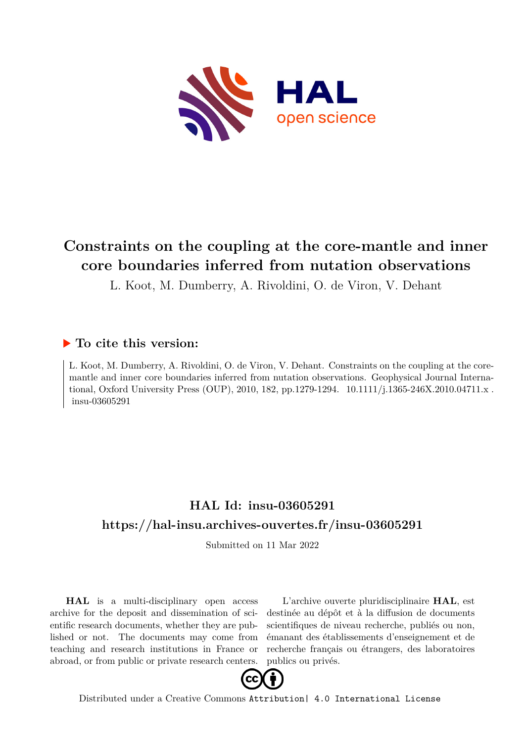

# **Constraints on the coupling at the core-mantle and inner core boundaries inferred from nutation observations**

L. Koot, M. Dumberry, A. Rivoldini, O. de Viron, V. Dehant

# **To cite this version:**

L. Koot, M. Dumberry, A. Rivoldini, O. de Viron, V. Dehant. Constraints on the coupling at the coremantle and inner core boundaries inferred from nutation observations. Geophysical Journal International, Oxford University Press (OUP), 2010, 182, pp.1279-1294. 10.1111/j.1365-246X.2010.04711.x. insu-03605291

# **HAL Id: insu-03605291 <https://hal-insu.archives-ouvertes.fr/insu-03605291>**

Submitted on 11 Mar 2022

**HAL** is a multi-disciplinary open access archive for the deposit and dissemination of scientific research documents, whether they are published or not. The documents may come from teaching and research institutions in France or abroad, or from public or private research centers.

L'archive ouverte pluridisciplinaire **HAL**, est destinée au dépôt et à la diffusion de documents scientifiques de niveau recherche, publiés ou non, émanant des établissements d'enseignement et de recherche français ou étrangers, des laboratoires publics ou privés.



Distributed under a Creative Commons [Attribution| 4.0 International License](http://creativecommons.org/licenses/by/4.0/)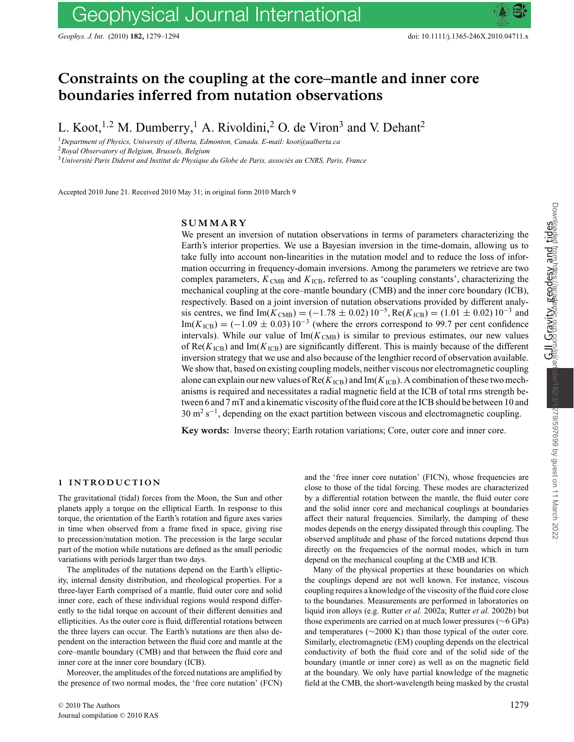# **Constraints on the coupling at the core–mantle and inner core boundaries inferred from nutation observations**

L. Koot, <sup>1,2</sup> M. Dumberry, <sup>1</sup> A. Rivoldini, <sup>2</sup> O. de Viron<sup>3</sup> and V. Dehant<sup>2</sup>

<sup>1</sup>*Department of Physics, University of Alberta, Edmonton, Canada. E-mail: koot@ualberta.ca*

<sup>2</sup>*Royal Observatory of Belgium, Brussels, Belgium*

<sup>3</sup>*Universite Paris Diderot and Institut de Physique du Globe de Paris, associ ´ es au CNRS, Paris, France ´*

Accepted 2010 June 21. Received 2010 May 31; in original form 2010 March 9

#### **SUMMARY**

We present an inversion of nutation observations in terms of parameters characterizing the Earth's interior properties. We use a Bayesian inversion in the time-domain, allowing us to take fully into account non-linearities in the nutation model and to reduce the loss of information occurring in frequency-domain inversions. Among the parameters we retrieve are two complex parameters,  $K_{\text{CMB}}$  and  $K_{\text{ICB}}$ , referred to as 'coupling constants', characterizing the mechanical coupling at the core–mantle boundary (CMB) and the inner core boundary (ICB), respectively. Based on a joint inversion of nutation observations provided by different analysis centres, we find Im( $K_{\text{CMB}}$ ) = (−1.78 ± 0.02) 10<sup>-5</sup>, Re( $K_{\text{ICB}}$ ) = (1.01 ± 0.02) 10<sup>-3</sup> and Im( $K_{\text{ICB}}$ ) = (-1.09  $\pm$  0.03) 10<sup>-3</sup> (where the errors correspond to 99.7 per cent confidence intervals). While our value of  $Im(K<sub>CMB</sub>)$  is similar to previous estimates, our new values of  $Re(K_{ICB})$  and  $Im(K_{ICB})$  are significantly different. This is mainly because of the different inversion strategy that we use and also because of the lengthier record of observation available. We show that, based on existing coupling models, neither viscous nor electromagnetic coupling alone can explain our new values of  $Re(K_{ICB})$  and  $Im(K_{ICB})$ . A combination of these two mechanisms is required and necessitates a radial magnetic field at the ICB of total rms strength between 6 and 7 mT and a kinematic viscosity of the fluid core at the ICB should be between 10 and  $30 \text{ m}^2 \text{ s}^{-1}$ , depending on the exact partition between viscous and electromagnetic coupling.

**Key words:** Inverse theory; Earth rotation variations; Core, outer core and inner core.

#### **1 INTRODUCTION**

The gravitational (tidal) forces from the Moon, the Sun and other planets apply a torque on the elliptical Earth. In response to this torque, the orientation of the Earth's rotation and figure axes varies in time when observed from a frame fixed in space, giving rise to precession/nutation motion. The precession is the large secular part of the motion while nutations are defined as the small periodic variations with periods larger than two days.

The amplitudes of the nutations depend on the Earth's ellipticity, internal density distribution, and rheological properties. For a three-layer Earth comprised of a mantle, fluid outer core and solid inner core, each of these individual regions would respond differently to the tidal torque on account of their different densities and ellipticities. As the outer core is fluid, differential rotations between the three layers can occur. The Earth's nutations are then also dependent on the interaction between the fluid core and mantle at the core–mantle boundary (CMB) and that between the fluid core and inner core at the inner core boundary (ICB).

Moreover, the amplitudes of the forced nutations are amplified by the presence of two normal modes, the 'free core nutation' (FCN) and the 'free inner core nutation' (FICN), whose frequencies are close to those of the tidal forcing. These modes are characterized by a differential rotation between the mantle, the fluid outer core and the solid inner core and mechanical couplings at boundaries affect their natural frequencies. Similarly, the damping of these modes depends on the energy dissipated through this coupling. The observed amplitude and phase of the forced nutations depend thus directly on the frequencies of the normal modes, which in turn depend on the mechanical coupling at the CMB and ICB.

Many of the physical properties at these boundaries on which the couplings depend are not well known. For instance, viscous coupling requires a knowledge of the viscosity of the fluid core close to the boundaries. Measurements are performed in laboratories on liquid iron alloys (e.g. Rutter *et al.* 2002a; Rutter *et al.* 2002b) but those experiments are carried on at much lower pressures (∼6 GPa) and temperatures (∼2000 K) than those typical of the outer core. Similarly, electromagnetic (EM) coupling depends on the electrical conductivity of both the fluid core and of the solid side of the boundary (mantle or inner core) as well as on the magnetic field at the boundary. We only have partial knowledge of the magnetic field at the CMB, the short-wavelength being masked by the crustal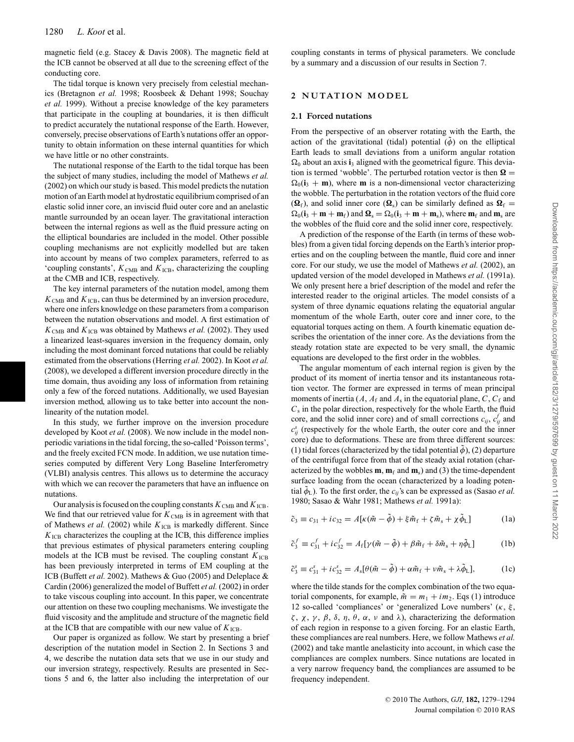magnetic field (e.g. Stacey & Davis 2008). The magnetic field at the ICB cannot be observed at all due to the screening effect of the conducting core.

The tidal torque is known very precisely from celestial mechanics (Bretagnon *et al.* 1998; Roosbeek & Dehant 1998; Souchay *et al.* 1999). Without a precise knowledge of the key parameters that participate in the coupling at boundaries, it is then difficult to predict accurately the nutational response of the Earth. However, conversely, precise observations of Earth's nutations offer an opportunity to obtain information on these internal quantities for which we have little or no other constraints.

The nutational response of the Earth to the tidal torque has been the subject of many studies, including the model of Mathews *et al.* (2002) on which our study is based. This model predicts the nutation motion of an Earth model at hydrostatic equilibrium comprised of an elastic solid inner core, an inviscid fluid outer core and an anelastic mantle surrounded by an ocean layer. The gravitational interaction between the internal regions as well as the fluid pressure acting on the elliptical boundaries are included in the model. Other possible coupling mechanisms are not explicitly modelled but are taken into account by means of two complex parameters, referred to as 'coupling constants',  $K_{\text{CMB}}$  and  $K_{\text{ICB}}$ , characterizing the coupling at the CMB and ICB, respectively.

The key internal parameters of the nutation model, among them  $K<sub>CMB</sub>$  and  $K<sub>ICB</sub>$ , can thus be determined by an inversion procedure, where one infers knowledge on these parameters from a comparison between the nutation observations and model. A first estimation of *K*CMB and *K*ICB was obtained by Mathews *et al.* (2002). They used a linearized least-squares inversion in the frequency domain, only including the most dominant forced nutations that could be reliably estimated from the observations (Herring *et al.* 2002). In Koot *et al.* (2008), we developed a different inversion procedure directly in the time domain, thus avoiding any loss of information from retaining only a few of the forced nutations. Additionally, we used Bayesian inversion method, allowing us to take better into account the nonlinearity of the nutation model.

In this study, we further improve on the inversion procedure developed by Koot *et al.* (2008). We now include in the model nonperiodic variations in the tidal forcing, the so-called 'Poisson terms', and the freely excited FCN mode. In addition, we use nutation timeseries computed by different Very Long Baseline Interferometry (VLBI) analysis centres. This allows us to determine the accuracy with which we can recover the parameters that have an influence on nutations.

Our analysis is focused on the coupling constants  $K_{\text{CMB}}$  and  $K_{\text{ICB}}$ . We find that our retrieved value for  $K_{\text{CMB}}$  is in agreement with that of Mathews *et al.* (2002) while  $K_{\text{ICB}}$  is markedly different. Since  $K_{\text{ICB}}$  characterizes the coupling at the ICB, this difference implies that previous estimates of physical parameters entering coupling models at the ICB must be revised. The coupling constant  $K_{\text{ICB}}$ has been previously interpreted in terms of EM coupling at the ICB (Buffett *et al.* 2002). Mathews & Guo (2005) and Deleplace & Cardin (2006) generalized the model of Buffett *et al.* (2002) in order to take viscous coupling into account. In this paper, we concentrate our attention on these two coupling mechanisms. We investigate the fluid viscosity and the amplitude and structure of the magnetic field at the ICB that are compatible with our new value of  $K_{\text{ICB}}$ .

Our paper is organized as follow. We start by presenting a brief description of the nutation model in Section 2. In Sections 3 and 4, we describe the nutation data sets that we use in our study and our inversion strategy, respectively. Results are presented in Sections 5 and 6, the latter also including the interpretation of our

coupling constants in terms of physical parameters. We conclude by a summary and a discussion of our results in Section 7.

#### **2 NUTATION MODEL**

#### **2.1 Forced nutations**

From the perspective of an observer rotating with the Earth, the action of the gravitational (tidal) potential  $(\tilde{\phi})$  on the elliptical Earth leads to small deviations from a uniform angular rotation  $\Omega_0$  about an axis **i**<sub>3</sub> aligned with the geometrical figure. This deviation is termed 'wobble'. The perturbed rotation vector is then  $\Omega =$  $\Omega_0(i_3 + m)$ , where **m** is a non-dimensional vector characterizing the wobble. The perturbation in the rotation vectors of the fluid core  $(\Omega_f)$ , and solid inner core  $(\Omega_s)$  can be similarly defined as  $\Omega_f =$  $\Omega_0(\mathbf{i}_3 + \mathbf{m} + \mathbf{m}_f)$  and  $\mathbf{\Omega}_s = \Omega_0(\mathbf{i}_3 + \mathbf{m} + \mathbf{m}_s)$ , where  $\mathbf{m}_f$  and  $\mathbf{m}_s$  are the wobbles of the fluid core and the solid inner core, respectively.

A prediction of the response of the Earth (in terms of these wobbles) from a given tidal forcing depends on the Earth's interior properties and on the coupling between the mantle, fluid core and inner core. For our study, we use the model of Mathews *et al.* (2002), an updated version of the model developed in Mathews *et al.* (1991a). We only present here a brief description of the model and refer the interested reader to the original articles. The model consists of a system of three dynamic equations relating the equatorial angular momentum of the whole Earth, outer core and inner core, to the equatorial torques acting on them. A fourth kinematic equation describes the orientation of the inner core. As the deviations from the steady rotation state are expected to be very small, the dynamic equations are developed to the first order in the wobbles.

The angular momentum of each internal region is given by the product of its moment of inertia tensor and its instantaneous rotation vector. The former are expressed in terms of mean principal moments of inertia ( $A$ ,  $A_f$  and  $A_s$  in the equatorial plane,  $C$ ,  $C_f$  and  $C_s$  in the polar direction, respectively for the whole Earth, the fluid core, and the solid inner core) and of small corrections  $c_{ij}$ ,  $c_{ij}^f$  and  $c<sub>ij</sub><sup>s</sup>$  (respectively for the whole Earth, the outer core and the inner core) due to deformations. These are from three different sources: (1) tidal forces (characterized by the tidal potential  $\tilde{\phi}$ ), (2) departure of the centrifugal force from that of the steady axial rotation (characterized by the wobbles  $\mathbf{m}$ ,  $\mathbf{m}_f$  and  $\mathbf{m}_s$ ) and (3) the time-dependent surface loading from the ocean (characterized by a loading potential  $\phi_L$ ). To the first order, the  $c_{ij}$ 's can be expressed as (Sasao *et al.* 1980; Sasao & Wahr 1981; Mathews *et al.* 1991a):

$$
\tilde{c}_3 \equiv c_{31} + ic_{32} = A[\kappa(\tilde{m} - \tilde{\phi}) + \xi \tilde{m}_f + \zeta \tilde{m}_s + \chi \tilde{\phi}_L]
$$
(1a)

$$
\tilde{c}_3^f \equiv c_{31}^f + i c_{32}^f = A_f [\gamma(\tilde{m} - \tilde{\phi}) + \beta \tilde{m}_f + \delta \tilde{m}_s + \eta \tilde{\phi}_L] \tag{1b}
$$

$$
\tilde{c}_3^s \equiv c_{31}^s + i c_{32}^s = A_s [\theta(\tilde{m} - \tilde{\phi}) + \alpha \tilde{m}_f + \nu \tilde{m}_s + \lambda \tilde{\phi}_L],\tag{1c}
$$

where the tilde stands for the complex combination of the two equatorial components, for example,  $\tilde{m} = m_1 + i m_2$ . Eqs (1) introduce 12 so-called 'compliances' or 'generalized Love numbers' ( $\kappa$ ,  $\xi$ ,  $\zeta$ ,  $\chi$ ,  $\gamma$ ,  $\beta$ ,  $\delta$ ,  $\eta$ ,  $\theta$ ,  $\alpha$ ,  $\nu$  and  $\lambda$ ), characterizing the deformation of each region in response to a given forcing. For an elastic Earth, these compliances are real numbers. Here, we follow Mathews *et al.* (2002) and take mantle anelasticity into account, in which case the compliances are complex numbers. Since nutations are located in a very narrow frequency band, the compliances are assumed to be frequency independent.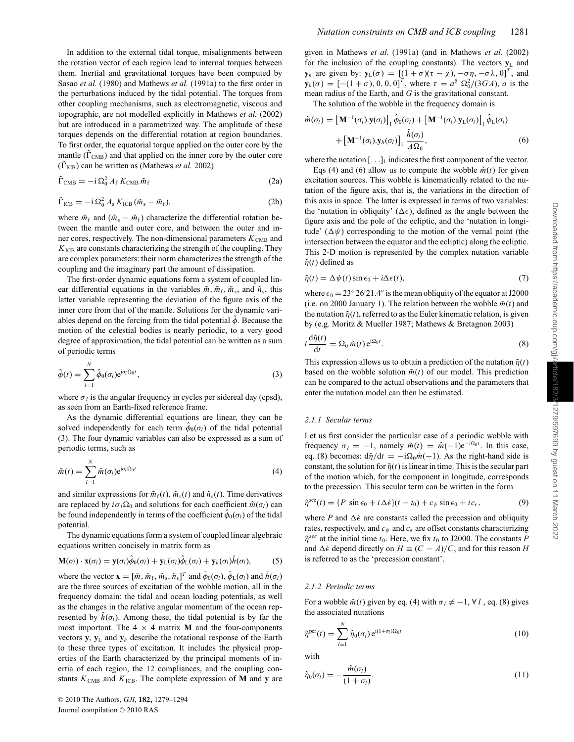In addition to the external tidal torque, misalignments between the rotation vector of each region lead to internal torques between them. Inertial and gravitational torques have been computed by Sasao *et al.* (1980) and Mathews *et al.* (1991a) to the first order in the perturbations induced by the tidal potential. The torques from other coupling mechanisms, such as electromagnetic, viscous and topographic, are not modelled explicitly in Mathews *et al.* (2002) but are introduced in a parametrized way. The amplitude of these torques depends on the differential rotation at region boundaries. To first order, the equatorial torque applied on the outer core by the mantle  $(\tilde{\Gamma}_{\text{CMB}})$  and that applied on the inner core by the outer core  $(\tilde{\Gamma}_{\text{ICB}})$  can be written as (Mathews *et al.* 2002)

$$
\tilde{\Gamma}_{\text{CMB}} = -i \,\Omega_0^2 \, A_f \, K_{\text{CMB}} \, \tilde{m}_f \tag{2a}
$$

$$
\tilde{\Gamma}_{\rm ICB} = -\mathrm{i}\,\Omega_0^2\,A_{\rm s}\,K_{\rm ICB}\,(\tilde{m}_{\rm s}-\tilde{m}_{\rm f}),\tag{2b}
$$

where  $\tilde{m}_{\rm f}$  and  $(\tilde{m}_{\rm s} - \tilde{m}_{\rm f})$  characterize the differential rotation between the mantle and outer core, and between the outer and inner cores, respectively. The non-dimensional parameters  $K_{\text{CMB}}$  and  $K_{\text{ICB}}$  are constants characterizing the strength of the coupling. They are complex parameters: their norm characterizes the strength of the coupling and the imaginary part the amount of dissipation.

The first-order dynamic equations form a system of coupled linear differential equations in the variables  $\tilde{m}$ ,  $\tilde{m}_{\rm f}$ ,  $\tilde{m}_{\rm s}$ , and  $\tilde{n}_{\rm s}$ , this latter variable representing the deviation of the figure axis of the inner core from that of the mantle. Solutions for the dynamic variables depend on the forcing from the tidal potential  $\phi$ . Because the motion of the celestial bodies is nearly periodic, to a very good degree of approximation, the tidal potential can be written as a sum of periodic terms

$$
\tilde{\phi}(t) = \sum_{l=1}^{N} \hat{\phi}_0(\sigma_l) e^{i\sigma_l \Omega_0 t},
$$
\n(3)

where  $\sigma_l$  is the angular frequency in cycles per sidereal day (cpsd), as seen from an Earth-fixed reference frame.

As the dynamic differential equations are linear, they can be solved independently for each term  $\phi_0(\sigma_l)$  of the tidal potential (3). The four dynamic variables can also be expressed as a sum of periodic terms, such as

$$
\tilde{m}(t) = \sum_{l=1}^{N} \hat{m}(\sigma_l) e^{i\sigma_l \Omega_0 t}
$$
\n(4)

and similar expressions for  $\tilde{m}_f(t)$ ,  $\tilde{m}_s(t)$  and  $\tilde{n}_s(t)$ . Time derivatives are replaced by  $i\sigma_l\Omega_0$  and solutions for each coefficient  $\hat{m}(\sigma_l)$  can be found independently in terms of the coefficient  $\hat{\phi}_0(\sigma_l)$  of the tidal potential.

The dynamic equations form a system of coupled linear algebraic equations written concisely in matrix form as

$$
\mathbf{M}(\sigma_l) \cdot \mathbf{x}(\sigma_l) = \mathbf{y}(\sigma_l) \hat{\phi}_0(\sigma_l) + \mathbf{y}_L(\sigma_l) \hat{\phi}_L(\sigma_l) + \mathbf{y}_h(\sigma_l) \hat{h}(\sigma_l), \quad (5)
$$

where the vector  $\mathbf{x} = [\hat{m}, \hat{m}_{\text{f}}, \hat{m}_{\text{s}}, \hat{n}_{\text{s}}]^T$  and  $\hat{\phi}_0(\sigma_l), \hat{\phi}_L(\sigma_l)$  and  $\hat{h}(\sigma_l)$ are the three sources of excitation of the wobble motion, all in the frequency domain: the tidal and ocean loading potentials, as well as the changes in the relative angular momentum of the ocean represented by  $h(\sigma_l)$ . Among these, the tidal potential is by far the most important. The  $4 \times 4$  matrix **M** and the four-components vectors **y**,  $\mathbf{y}_L$  and  $\mathbf{y}_h$  describe the rotational response of the Earth to these three types of excitation. It includes the physical properties of the Earth characterized by the principal moments of inertia of each region, the 12 compliances, and the coupling constants  $K_{\text{CMB}}$  and  $K_{\text{ICB}}$ . The complete expression of **M** and **y** are

given in Mathews *et al.* (1991a) (and in Mathews *et al.* (2002) for the inclusion of the coupling constants). The vectors  $y_L$  and **y**<sub>*h*</sub> are given by:  $\mathbf{y}_L(\sigma) = [(1+\sigma)(\tau-\chi), -\sigma\eta, -\sigma\lambda, 0]^T$ , and  $\mathbf{y}_h(\sigma) = [-(1+\sigma), 0, 0, 0]^T$ , where  $\tau = a^5 \Omega_0^2/(3GA)$ , *a* is the mean radius of the Earth, and *G* is the gravitational constant.

The solution of the wobble in the frequency domain is

$$
\hat{m}(\sigma_l) = \left[\mathbf{M}^{-1}(\sigma_l).\mathbf{y}(\sigma_l)\right]_1 \hat{\phi}_0(\sigma_l) + \left[\mathbf{M}^{-1}(\sigma_l).\mathbf{y}_L(\sigma_l)\right]_1 \hat{\phi}_L(\sigma_l) + \left[\mathbf{M}^{-1}(\sigma_l).\mathbf{y}_h(\sigma_l)\right]_1 \hat{\hat{h}}(\sigma_l) + \left[\mathbf{M}^{-1}(\sigma_l).\mathbf{y}_h(\sigma_l)\right]_1 \hat{\hat{h}}(\sigma_l)
$$
\n(6)

where the notation  $[\ldots]_1$  indicates the first component of the vector.

Eqs (4) and (6) allow us to compute the wobble  $\tilde{m}(t)$  for given excitation sources. This wobble is kinematically related to the nutation of the figure axis, that is, the variations in the direction of this axis in space. The latter is expressed in terms of two variables: the 'nutation in obliquity' ( $\Delta \epsilon$ ), defined as the angle between the figure axis and the pole of the ecliptic, and the 'nutation in longitude'  $(\Delta \psi)$  corresponding to the motion of the vernal point (the intersection between the equator and the ecliptic) along the ecliptic. This 2-D motion is represented by the complex nutation variable  $\tilde{\eta}(t)$  defined as

$$
\tilde{\eta}(t) = \Delta \psi(t) \sin \epsilon_0 + i\Delta \epsilon(t),\tag{7}
$$

where  $\epsilon_0 = 23^\circ 26' 21.4''$  is the mean obliquity of the equator at J2000 (i.e. on 2000 January 1). The relation between the wobble  $\tilde{m}(t)$  and the nutation  $\tilde{\eta}(t)$ , referred to as the Euler kinematic relation, is given by (e.g. Moritz & Mueller 1987; Mathews & Bretagnon 2003)

$$
i\frac{d\tilde{\eta}(t)}{dt} = \Omega_0 \tilde{m}(t) e^{i\Omega_0 t}.
$$
 (8)

This expression allows us to obtain a prediction of the nutation  $\tilde{\eta}(t)$ based on the wobble solution  $\tilde{m}(t)$  of our model. This prediction can be compared to the actual observations and the parameters that enter the nutation model can then be estimated.

#### *2.1.1 Secular terms*

Let us first consider the particular case of a periodic wobble with frequency  $\sigma_l = -1$ , namely  $\tilde{m}(t) = \hat{m}(-1)e^{-i\Omega_0 t}$ . In this case, eq. (8) becomes:  $d\tilde{\eta}/dt = -i\Omega_0 \hat{m}(-1)$ . As the right-hand side is constant, the solution for  $\tilde{\eta}(t)$  is linear in time. This is the secular part of the motion which, for the component in longitude, corresponds to the precession. This secular term can be written in the form

$$
\tilde{\eta}^{\text{sec}}(t) = \{ P \sin \epsilon_0 + i \Delta \dot{\epsilon} \} (t - t_0) + c_{\psi} \sin \epsilon_0 + i c_{\epsilon}, \tag{9}
$$

where *P* and  $\Delta \dot{\epsilon}$  are constants called the precession and obliquity rates, respectively, and  $c_{\psi}$  and  $c_{\epsilon}$  are offset constants characterizing  $\tilde{\eta}^{sec}$  at the initial time  $t_0$ . Here, we fix  $t_0$  to J2000. The constants *P* and  $\Delta \epsilon$  depend directly on  $H \equiv (C - A)/C$ , and for this reason *H* is referred to as the 'precession constant'.

#### *2.1.2 Periodic terms*

For a wobble  $\tilde{m}(t)$  given by eq. (4) with  $\sigma_l \neq -1$ ,  $\forall l$ , eq. (8) gives the associated nutations

$$
\tilde{\eta}^{\text{per}}(t) = \sum_{l=1}^{N} \hat{\eta}_0(\sigma_l) e^{i(1+\sigma_l)\Omega_0 t}
$$
\n(10)

with

$$
\hat{\eta}_0(\sigma_l) = -\frac{\hat{m}(\sigma_l)}{(1+\sigma_l)}.
$$
\n(11)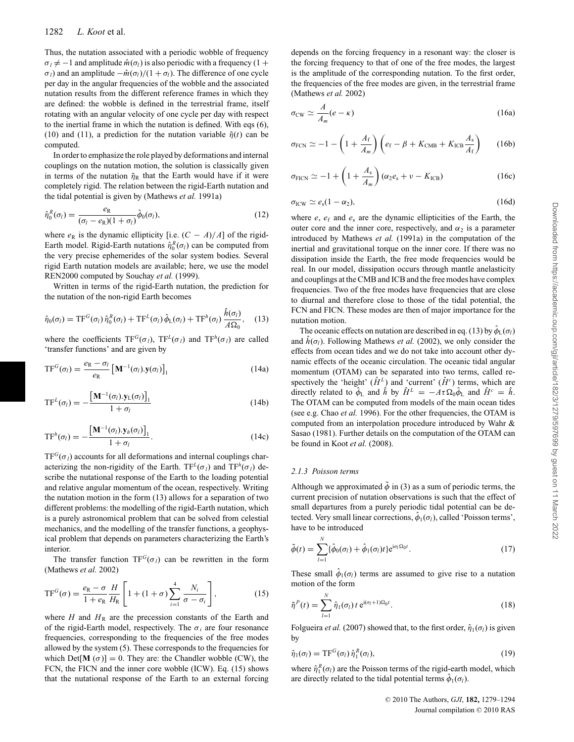Thus, the nutation associated with a periodic wobble of frequency  $\sigma_l \neq -1$  and amplitude  $\hat{m}(\sigma_l)$  is also periodic with a frequency (1 + σ<sub>*l*</sub>) and an amplitude  $-\hat{m}(\sigma_l)/(1 + \sigma_l)$ . The difference of one cycle per day in the angular frequencies of the wobble and the associated nutation results from the different reference frames in which they are defined: the wobble is defined in the terrestrial frame, itself rotating with an angular velocity of one cycle per day with respect to the inertial frame in which the nutation is defined. With eqs (6), (10) and (11), a prediction for the nutation variable  $\tilde{\eta}(t)$  can be computed.

In order to emphasize the role played by deformations and internal couplings on the nutation motion, the solution is classically given in terms of the nutation  $\tilde{\eta}_R$  that the Earth would have if it were completely rigid. The relation between the rigid-Earth nutation and the tidal potential is given by (Mathews *et al.* 1991a)

$$
\hat{\eta}_0^R(\sigma_l) = \frac{e_R}{(\sigma_l - e_R)(1 + \sigma_l)} \hat{\phi}_0(\sigma_l),\tag{12}
$$

where  $e_R$  is the dynamic ellipticity [i.e.  $(C - A)/A$ ] of the rigid-Earth model. Rigid-Earth nutations  $\hat{\eta}_0^R(\sigma_l)$  can be computed from the very precise ephemerides of the solar system bodies. Several rigid Earth nutation models are available; here, we use the model REN2000 computed by Souchay *et al.* (1999).

Written in terms of the rigid-Earth nutation, the prediction for the nutation of the non-rigid Earth becomes

$$
\hat{\eta}_0(\sigma_l) = \text{TF}^G(\sigma_l) \,\hat{\eta}_0^R(\sigma_l) + \text{TF}^L(\sigma_l) \,\hat{\phi}_L(\sigma_l) + \text{TF}^h(\sigma_l) \,\frac{\hat{h}(\sigma_l)}{A\Omega_0},\tag{13}
$$

where the coefficients  $TF^{G}(\sigma_l)$ ,  $TF^{L}(\sigma_l)$  and  $TF^{h}(\sigma_l)$  are called 'transfer functions' and are given by

$$
TF^{G}(\sigma_{l}) = \frac{e_{R} - \sigma_{l}}{e_{R}} \left[ \mathbf{M}^{-1}(\sigma_{l}). \mathbf{y}(\sigma_{l}) \right]_{1}
$$
(14a)

$$
TF^{L}(\sigma_{l}) = -\frac{\left[\mathbf{M}^{-1}(\sigma_{l})\mathbf{y}_{L}(\sigma_{l})\right]_{1}}{1+\sigma_{l}}
$$
(14b)

$$
\mathrm{TF}^{h}(\sigma_{l}) = -\frac{\left[\mathbf{M}^{-1}(\sigma_{l})\mathbf{y}_{h}(\sigma_{l})\right]_{1}}{1+\sigma_{l}}.
$$
\n(14c)

 $TF<sup>G</sup>(\sigma_l)$  accounts for all deformations and internal couplings characterizing the non-rigidity of the Earth. TF<sup>L</sup>( $\sigma_l$ ) and TF<sup>h</sup>( $\sigma_l$ ) describe the nutational response of the Earth to the loading potential and relative angular momentum of the ocean, respectively. Writing the nutation motion in the form (13) allows for a separation of two different problems: the modelling of the rigid-Earth nutation, which is a purely astronomical problem that can be solved from celestial mechanics, and the modelling of the transfer functions, a geophysical problem that depends on parameters characterizing the Earth's interior.

The transfer function  $TF<sup>G</sup>(\sigma_l)$  can be rewritten in the form (Mathews *et al.* 2002)

$$
\mathrm{TF}^G(\sigma) = \frac{e_{\mathrm{R}} - \sigma}{1 + e_{\mathrm{R}}} \frac{H}{H_{\mathrm{R}}} \left[ 1 + (1 + \sigma) \sum_{i=1}^4 \frac{N_i}{\sigma - \sigma_i} \right],\tag{15}
$$

where  $H$  and  $H_R$  are the precession constants of the Earth and of the rigid-Earth model, respectively. The  $\sigma_i$  are four resonance frequencies, corresponding to the frequencies of the free modes allowed by the system  $(5)$ . These corresponds to the frequencies for which  $Det[\mathbf{M}(\sigma)] = 0$ . They are: the Chandler wobble (CW), the FCN, the FICN and the inner core wobble (ICW). Eq. (15) shows that the nutational response of the Earth to an external forcing

depends on the forcing frequency in a resonant way: the closer is the forcing frequency to that of one of the free modes, the largest is the amplitude of the corresponding nutation. To the first order, the frequencies of the free modes are given, in the terrestrial frame (Mathews *et al.* 2002)

$$
\sigma_{\rm CW} \simeq \frac{A}{A_m}(e - \kappa) \tag{16a}
$$

$$
\sigma_{\text{FCN}} \simeq -1 - \left(1 + \frac{A_{\text{f}}}{A_{m}}\right) \left(e_{\text{f}} - \beta + K_{\text{CMB}} + K_{\text{ICB}} \frac{A_{\text{s}}}{A_{\text{f}}}\right) \tag{16b}
$$

$$
\sigma_{\text{FICN}} \simeq -1 + \left(1 + \frac{A_s}{A_m}\right) (\alpha_2 e_s + \nu - K_{\text{ICB}})
$$
 (16c)

$$
\sigma_{\text{ICW}} \simeq e_{\text{s}}(1-\alpha_2),\tag{16d}
$$

where *e*, *e*<sup>f</sup> and *e*<sup>s</sup> are the dynamic ellipticities of the Earth, the outer core and the inner core, respectively, and  $\alpha_2$  is a parameter introduced by Mathews *et al.* (1991a) in the computation of the inertial and gravitational torque on the inner core. If there was no dissipation inside the Earth, the free mode frequencies would be real. In our model, dissipation occurs through mantle anelasticity and couplings at the CMB and ICB and the free modes have complex frequencies. Two of the free modes have frequencies that are close to diurnal and therefore close to those of the tidal potential, the FCN and FICN. These modes are then of major importance for the nutation motion.

The oceanic effects on nutation are described in eq. (13) by  $\phi_L(\sigma_l)$ and  $\hat{h}(\sigma_l)$ . Following Mathews *et al.* (2002), we only consider the effects from ocean tides and we do not take into account other dynamic effects of the oceanic circulation. The oceanic tidal angular momentum (OTAM) can be separated into two terms, called respectively the 'height'  $(\hat{H}^L)$  and 'current'  $(\hat{H}^c)$  terms, which are directly related to  $\hat{\phi}_L$  and  $\hat{h}$  by  $\hat{H}^L = -A\tau\Omega_0\hat{\phi}_L$  and  $\hat{H}^c = \hat{h}$ . The OTAM can be computed from models of the main ocean tides (see e.g. Chao *et al.* 1996). For the other frequencies, the OTAM is computed from an interpolation procedure introduced by Wahr & Sasao (1981). Further details on the computation of the OTAM can be found in Koot *et al.* (2008).

#### *2.1.3 Poisson terms*

Although we approximated  $\tilde{\phi}$  in (3) as a sum of periodic terms, the current precision of nutation observations is such that the effect of small departures from a purely periodic tidal potential can be detected. Very small linear corrections,  $\hat{\phi}_1(\sigma_l)$ , called 'Poisson terms', have to be introduced

$$
\tilde{\phi}(t) = \sum_{l=1}^{N} {\{\hat{\phi}_0(\sigma_l) + \hat{\phi}_1(\sigma_l)t\} e^{i\sigma_l \Omega_0 t}}.
$$
\n(17)

These small  $\hat{\phi}_1(\sigma)$  terms are assumed to give rise to a nutation motion of the form

$$
\tilde{\eta}^P(t) = \sum_{l=1}^N \hat{\eta}_1(\sigma_l) t e^{i(\sigma_l+1)\Omega_0 t}.
$$
\n(18)

Folgueira *et al.* (2007) showed that, to the first order,  $\hat{\eta}_1(\sigma_l)$  is given by

$$
\hat{\eta}_1(\sigma_l) = \mathrm{TF}^G(\sigma_l) \,\hat{\eta}_1^R(\sigma_l),\tag{19}
$$

where  $\hat{\eta}_1^R(\sigma_l)$  are the Poisson terms of the rigid-earth model, which are directly related to the tidal potential terms  $\hat{\phi}_1(\sigma_l)$ .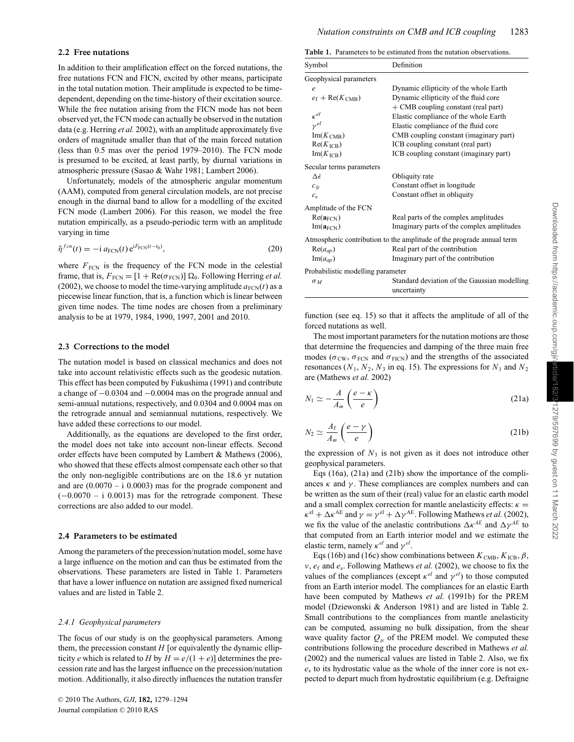# **2.2 Free nutations**

In addition to their amplification effect on the forced nutations, the free nutations FCN and FICN, excited by other means, participate in the total nutation motion. Their amplitude is expected to be timedependent, depending on the time-history of their excitation source. While the free nutation arising from the FICN mode has not been observed yet, the FCN mode can actually be observed in the nutation data (e.g. Herring *et al.* 2002), with an amplitude approximately five orders of magnitude smaller than that of the main forced nutation (less than 0.5 mas over the period 1979–2010). The FCN mode is presumed to be excited, at least partly, by diurnal variations in atmospheric pressure (Sasao & Wahr 1981; Lambert 2006).

Unfortunately, models of the atmospheric angular momentum (AAM), computed from general circulation models, are not precise enough in the diurnal band to allow for a modelling of the excited FCN mode (Lambert 2006). For this reason, we model the free nutation empirically, as a pseudo-periodic term with an amplitude varying in time

$$
\tilde{\eta}^{fcn}(t) = -\mathrm{i} a_{\text{FCN}}(t) e^{\mathrm{i} F_{\text{FCN}}(t-t_0)},\tag{20}
$$

where  $F_{\text{FCN}}$  is the frequency of the FCN mode in the celestial frame, that is,  $F_{\text{FCN}} = [1 + \text{Re}(\sigma_{\text{FCN}})] \Omega_0$ . Following Herring *et al.* (2002), we choose to model the time-varying amplitude  $a_{\text{FCN}}(t)$  as a piecewise linear function, that is, a function which is linear between given time nodes. The time nodes are chosen from a preliminary analysis to be at 1979, 1984, 1990, 1997, 2001 and 2010.

#### **2.3 Corrections to the model**

The nutation model is based on classical mechanics and does not take into account relativistic effects such as the geodesic nutation. This effect has been computed by Fukushima (1991) and contribute a change of −0.0304 and −0.0004 mas on the prograde annual and semi-annual nutations, respectively, and 0.0304 and 0.0004 mas on the retrograde annual and semiannual nutations, respectively. We have added these corrections to our model.

Additionally, as the equations are developed to the first order, the model does not take into account non-linear effects. Second order effects have been computed by Lambert & Mathews (2006), who showed that these effects almost compensate each other so that the only non-negligible contributions are on the 18.6 yr nutation and are  $(0.0070 - i 0.0003)$  mas for the prograde component and  $(-0.0070 - i 0.0013)$  mas for the retrograde component. These corrections are also added to our model.

#### **2.4 Parameters to be estimated**

Among the parameters of the precession/nutation model, some have a large influence on the motion and can thus be estimated from the observations. These parameters are listed in Table 1. Parameters that have a lower influence on nutation are assigned fixed numerical values and are listed in Table 2.

#### *2.4.1 Geophysical parameters*

The focus of our study is on the geophysical parameters. Among them, the precession constant  $H$  [or equivalently the dynamic ellipticity *e* which is related to *H* by  $H = e/(1 + e)$ ] determines the precession rate and has the largest influence on the precession/nutation motion. Additionally, it also directly influences the nutation transfer

|  |  |  |  | <b>Table 1.</b> Parameters to be estimated from the nutation observations. |
|--|--|--|--|----------------------------------------------------------------------------|
|--|--|--|--|----------------------------------------------------------------------------|

| Symbol                            | Definition                                                            |
|-----------------------------------|-----------------------------------------------------------------------|
| Geophysical parameters            |                                                                       |
| e                                 | Dynamic ellipticity of the whole Earth                                |
| $e_f + \text{Re}(K_{\text{CMB}})$ | Dynamic ellipticity of the fluid core                                 |
|                                   | $+$ CMB coupling constant (real part)                                 |
| $\kappa$ el                       | Elastic compliance of the whole Earth                                 |
| $\nu^{el}$                        | Elastic compliance of the fluid core                                  |
| $Im(K_{CMB})$                     | CMB coupling constant (imaginary part)                                |
| $Re(K_{ICB})$                     | ICB coupling constant (real part)                                     |
| $Im(K_{ICB})$                     | ICB coupling constant (imaginary part)                                |
| Secular terms parameters          |                                                                       |
| Λċ                                | Obliquity rate                                                        |
| $c_{\psi}$                        | Constant offset in longitude                                          |
| $c_{\epsilon}$                    | Constant offset in obliquity                                          |
| Amplitude of the FCN              |                                                                       |
| $Re(a_{\text{FCN}})$              | Real parts of the complex amplitudes                                  |
| $Im(a_{\text{FCN}})$              | Imaginary parts of the complex amplitudes                             |
|                                   | Atmospheric contribution to the amplitude of the prograde annual term |
| $Re(a_{ap})$                      | Real part of the contribution                                         |
| $Im(a_{ap})$                      | Imaginary part of the contribution                                    |
| Probabilistic modelling parameter |                                                                       |
| $\sigma_M$                        | Standard deviation of the Gaussian modelling<br>uncertainty           |

function (see eq. 15) so that it affects the amplitude of all of the forced nutations as well.

The most important parameters for the nutation motions are those that determine the frequencies and damping of the three main free modes ( $\sigma_{\text{CW}}$ ,  $\sigma_{\text{FCN}}$  and  $\sigma_{\text{FICN}}$ ) and the strengths of the associated resonances ( $N_1$ ,  $N_2$ ,  $N_3$  in eq. 15). The expressions for  $N_1$  and  $N_2$ are (Mathews *et al.* 2002)

$$
N_1 \simeq -\frac{A}{A_m} \left( \frac{e - \kappa}{e} \right) \tag{21a}
$$

$$
N_2 \simeq \frac{A_f}{A_m} \left( \frac{e - \gamma}{e} \right) \tag{21b}
$$

the expression of  $N_3$  is not given as it does not introduce other geophysical parameters.

Eqs (16a), (21a) and (21b) show the importance of the compliances  $\kappa$  and  $\gamma$ . These compliances are complex numbers and can be written as the sum of their (real) value for an elastic earth model and a small complex correction for mantle anelasticity effects:  $\kappa =$  $\kappa^{\text{el}} + \Delta \kappa^{\text{AE}}$  and  $\gamma = \gamma^{\text{el}} + \Delta \gamma^{\text{AE}}$ . Following Mathews *et al.* (2002), we fix the value of the anelastic contributions  $\Delta \kappa^{AE}$  and  $\Delta \gamma^{AE}$  to that computed from an Earth interior model and we estimate the elastic term, namely  $\kappa^{el}$  and  $\gamma^{el}$ .

Eqs (16b) and (16c) show combinations between  $K_{\text{CMB}}$ ,  $K_{\text{ICB}}$ ,  $\beta$ , ν, *e*<sup>f</sup> and *e*s. Following Mathews *et al.* (2002), we choose to fix the values of the compliances (except  $\kappa^{el}$  and  $\gamma^{el}$ ) to those computed from an Earth interior model. The compliances for an elastic Earth have been computed by Mathews *et al.* (1991b) for the PREM model (Dziewonski & Anderson 1981) and are listed in Table 2. Small contributions to the compliances from mantle anelasticity can be computed, assuming no bulk dissipation, from the shear wave quality factor  $Q_\mu$  of the PREM model. We computed these contributions following the procedure described in Mathews *et al.* (2002) and the numerical values are listed in Table 2. Also, we fix *e*<sup>s</sup> to its hydrostatic value as the whole of the inner core is not expected to depart much from hydrostatic equilibrium (e.g. Defraigne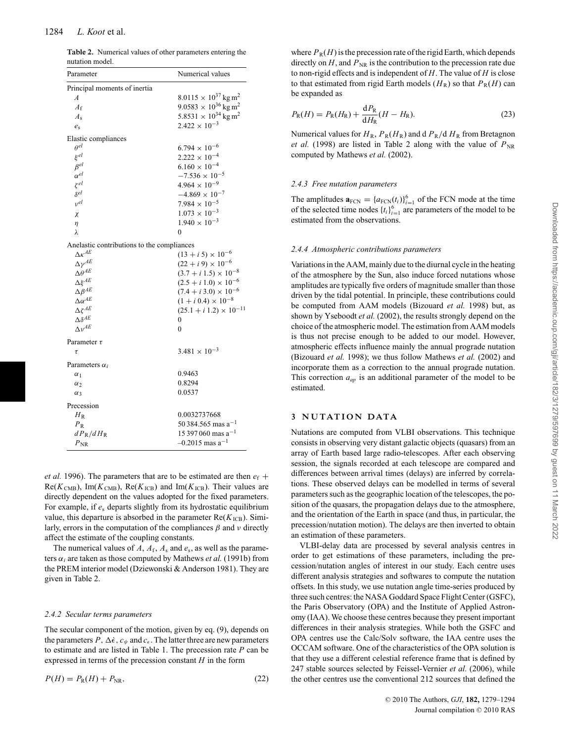**Table 2.** Numerical values of other parameters entering the nutation model.

| Parameter                                  | Numerical values                          |
|--------------------------------------------|-------------------------------------------|
| Principal moments of inertia               |                                           |
| $\overline{A}$                             | $8.0115 \times 10^{37}$ kg m <sup>2</sup> |
| $A_{\rm f}$                                | $9.0583 \times 10^{36}$ kg m <sup>2</sup> |
| $A_{\rm s}$                                | $5.8531 \times 10^{34}$ kg m <sup>2</sup> |
| $e_{\rm s}$                                | $2.422 \times 10^{-3}$                    |
| Elastic compliances                        |                                           |
| $\theta$ el                                | $6.794 \times 10^{-6}$                    |
| $\xi^{el}$                                 | $2.222 \times 10^{-4}$                    |
| $\beta^{el}$                               | $6.160 \times 10^{-4}$                    |
| $\alpha^{el}$                              | $-7.536 \times 10^{-5}$                   |
| $\zeta^{el}$                               | $4.964 \times 10^{-9}$                    |
| $\delta^{el}$                              | $-4.869 \times 10^{-7}$                   |
| $v^{el}$                                   | $7.984 \times 10^{-5}$                    |
| χ                                          | $1.073 \times 10^{-3}$                    |
| $\eta$                                     | $1.940 \times 10^{-3}$                    |
| λ                                          | $\theta$                                  |
| Anelastic contributions to the compliances |                                           |
| $\Delta \kappa^{AE}$                       | $(13 + i 5) \times 10^{-6}$               |
| $\Delta \gamma^{AE}$                       | $(22+i9) \times 10^{-6}$                  |
| $\Delta\theta^{AE}$                        | $(3.7 + i 1.5) \times 10^{-8}$            |
| $\Delta\xi^{AE}$                           | $(2.5 + i 1.0) \times 10^{-6}$            |
| $\Delta \beta^{AE}$                        | $(7.4 + i 3.0) \times 10^{-6}$            |
| $\Delta \alpha^{AE}$                       | $(1 + i 0.4) \times 10^{-8}$              |
| $\Delta\zeta^{AE}$                         | $(25.1 + i 1.2) \times 10^{-11}$          |
| $\Delta \delta^{AE}$                       | 0                                         |
| $\Delta v^{AE}$                            | $\mathbf{0}$                              |
| Parameter $\tau$                           |                                           |
| $\tau$                                     | $3.481 \times 10^{-3}$                    |
| Parameters $\alpha_i$                      |                                           |
| $\alpha_1$                                 | 0.9463                                    |
| $\alpha_2$                                 | 0.8294                                    |
| $\alpha_3$                                 | 0.0537                                    |
| Precession                                 |                                           |
| $H_{R}$                                    | 0.0032737668                              |
| $P_{R}$                                    | 50 384.565 mas $a^{-1}$                   |
| $dP_{R}/dH_{R}$                            | $15397060$ mas a <sup>-1</sup>            |
| $P_{\text{NR}}$                            | $-0.2015$ mas a <sup>-1</sup>             |

*et al.* 1996). The parameters that are to be estimated are then  $e_f$  +  $Re(K<sub>CMB</sub>)$ , Im( $K<sub>CMB</sub>$ ), Re( $K<sub>ICB</sub>$ ) and Im( $K<sub>ICB</sub>$ ). Their values are directly dependent on the values adopted for the fixed parameters. For example, if *e*<sup>s</sup> departs slightly from its hydrostatic equilibrium value, this departure is absorbed in the parameter  $Re(K_{ICB})$ . Similarly, errors in the computation of the compliances  $\beta$  and  $\nu$  directly affect the estimate of the coupling constants.

The numerical values of  $A$ ,  $A_f$ ,  $A_s$  and  $e_s$ , as well as the parameters  $\alpha_i$  are taken as those computed by Mathews *et al.* (1991b) from the PREM interior model (Dziewonski & Anderson 1981). They are given in Table 2.

#### *2.4.2 Secular terms parameters*

The secular component of the motion, given by eq. (9), depends on the parameters *P*,  $\Delta \dot{\epsilon}$ ,  $c_{\psi}$  and  $c_{\epsilon}$ . The latter three are new parameters to estimate and are listed in Table 1. The precession rate *P* can be expressed in terms of the precession constant *H* in the form

$$
P(H) = P_{\rm R}(H) + P_{\rm NR},\tag{22}
$$

where  $P_R(H)$  is the precession rate of the rigid Earth, which depends directly on  $H$ , and  $P_{NR}$  is the contribution to the precession rate due to non-rigid effects and is independent of *H*. The value of *H* is close to that estimated from rigid Earth models  $(H_R)$  so that  $P_R(H)$  can be expanded as

$$
P_{R}(H) = P_{R}(H_{R}) + \frac{dP_{R}}{dH_{R}}(H - H_{R}).
$$
\n(23)

Numerical values for  $H_R$ ,  $P_R(H_R)$  and d  $P_R/dH_R$  from Bretagnon *et al.* (1998) are listed in Table 2 along with the value of  $P_{NR}$ computed by Mathews *et al.* (2002).

### *2.4.3 Free nutation parameters*

The amplitudes  $\mathbf{a}_{\text{FCN}} = \{a_{\text{FCN}}(t_i)\}_{i=1}^6$  of the FCN mode at the time of the selected time nodes  $\{t_i\}_{i=1}^6$  are parameters of the model to be estimated from the observations.

#### *2.4.4 Atmospheric contributions parameters*

Variations in the AAM, mainly due to the diurnal cycle in the heating of the atmosphere by the Sun, also induce forced nutations whose amplitudes are typically five orders of magnitude smaller than those driven by the tidal potential. In principle, these contributions could be computed from AAM models (Bizouard *et al.* 1998) but, as shown by Yseboodt *et al.* (2002), the results strongly depend on the choice of the atmospheric model. The estimation from AAM models is thus not precise enough to be added to our model. However, atmospheric effects influence mainly the annual prograde nutation (Bizouard *et al.* 1998); we thus follow Mathews *et al.* (2002) and incorporate them as a correction to the annual prograde nutation. This correction *aap* is an additional parameter of the model to be estimated.

# **3 NUTATION DATA**

Nutations are computed from VLBI observations. This technique consists in observing very distant galactic objects (quasars) from an array of Earth based large radio-telescopes. After each observing session, the signals recorded at each telescope are compared and differences between arrival times (delays) are inferred by correlations. These observed delays can be modelled in terms of several parameters such as the geographic location of the telescopes, the position of the quasars, the propagation delays due to the atmosphere, and the orientation of the Earth in space (and thus, in particular, the precession/nutation motion). The delays are then inverted to obtain an estimation of these parameters.

VLBI-delay data are processed by several analysis centres in order to get estimations of these parameters, including the precession/nutation angles of interest in our study. Each centre uses different analysis strategies and softwares to compute the nutation offsets. In this study, we use nutation angle time-series produced by three such centres: the NASA Goddard Space Flight Center (GSFC), the Paris Observatory (OPA) and the Institute of Applied Astronomy (IAA). We choose these centres because they present important differences in their analysis strategies. While both the GSFC and OPA centres use the Calc/Solv software, the IAA centre uses the OCCAM software. One of the characteristics of the OPA solution is that they use a different celestial reference frame that is defined by 247 stable sources selected by Feissel-Vernier *et al.* (2006), while the other centres use the conventional 212 sources that defined the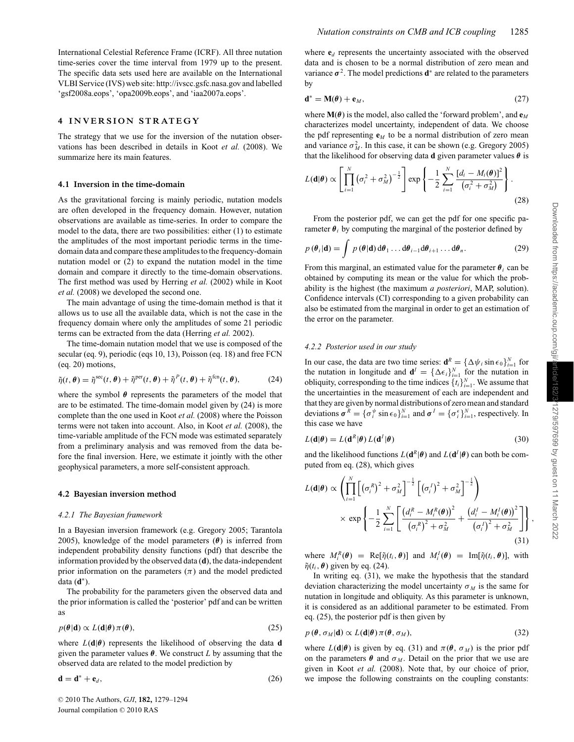#### **4 INVERSION STRATEGY**

The strategy that we use for the inversion of the nutation observations has been described in details in Koot *et al.* (2008). We summarize here its main features.

#### **4.1 Inversion in the time-domain**

As the gravitational forcing is mainly periodic, nutation models are often developed in the frequency domain. However, nutation observations are available as time-series. In order to compare the model to the data, there are two possibilities: either (1) to estimate the amplitudes of the most important periodic terms in the timedomain data and compare these amplitudes to the frequency-domain nutation model or (2) to expand the nutation model in the time domain and compare it directly to the time-domain observations. The first method was used by Herring *et al.* (2002) while in Koot *et al.* (2008) we developed the second one.

The main advantage of using the time-domain method is that it allows us to use all the available data, which is not the case in the frequency domain where only the amplitudes of some 21 periodic terms can be extracted from the data (Herring *et al.* 2002).

The time-domain nutation model that we use is composed of the secular (eq. 9), periodic (eqs 10, 13), Poisson (eq. 18) and free FCN (eq. 20) motions,

$$
\tilde{\eta}(t,\theta) = \tilde{\eta}^{\text{sec}}(t,\theta) + \tilde{\eta}^{\text{per}}(t,\theta) + \tilde{\eta}^P(t,\theta) + \tilde{\eta}^{\text{fon}}(t,\theta), \tag{24}
$$

where the symbol  $\theta$  represents the parameters of the model that are to be estimated. The time-domain model given by (24) is more complete than the one used in Koot *et al.* (2008) where the Poisson terms were not taken into account. Also, in Koot *et al.* (2008), the time-variable amplitude of the FCN mode was estimated separately from a preliminary analysis and was removed from the data before the final inversion. Here, we estimate it jointly with the other geophysical parameters, a more self-consistent approach.

#### **4.2 Bayesian inversion method**

#### *4.2.1 The Bayesian framework*

In a Bayesian inversion framework (e.g. Gregory 2005; Tarantola 2005), knowledge of the model parameters (*θ*) is inferred from independent probability density functions (pdf) that describe the information provided by the observed data (**d**), the data-independent prior information on the parameters  $(\pi)$  and the model predicted data (**d**<sup>∗</sup>).

The probability for the parameters given the observed data and the prior information is called the 'posterior' pdf and can be written as

$$
p(\theta|\mathbf{d}) \propto L(\mathbf{d}|\theta) \pi(\theta),\tag{25}
$$

where  $L(\mathbf{d}|\boldsymbol{\theta})$  represents the likelihood of observing the data **d** given the parameter values  $\theta$ . We construct *L* by assuming that the observed data are related to the model prediction by

$$
\mathbf{d} = \mathbf{d}^* + \mathbf{e}_d,\tag{26}
$$

where **e***<sup>d</sup>* represents the uncertainty associated with the observed data and is chosen to be a normal distribution of zero mean and variance  $\sigma^2$ . The model predictions  $\mathbf{d}^*$  are related to the parameters by

$$
\mathbf{d}^* = \mathbf{M}(\boldsymbol{\theta}) + \mathbf{e}_M,\tag{27}
$$

where  $\mathbf{M}(\theta)$  is the model, also called the 'forward problem', and  $\mathbf{e}_M$ characterizes model uncertainty, independent of data. We choose the pdf representing  $e_M$  to be a normal distribution of zero mean and variance  $\sigma_M^2$ . In this case, it can be shown (e.g. Gregory 2005) that the likelihood for observing data **d** given parameter values  $\theta$  is

$$
L(\mathbf{d}|\boldsymbol{\theta}) \propto \left[ \prod_{i=1}^{N} \left( \sigma_i^2 + \sigma_M^2 \right)^{-\frac{1}{2}} \right] \exp \left\{ -\frac{1}{2} \sum_{i=1}^{N} \frac{\left[ d_i - M_i(\boldsymbol{\theta}) \right]^2}{\left( \sigma_i^2 + \sigma_M^2 \right)} \right\}.
$$
\n(28)

From the posterior pdf, we can get the pdf for one specific parameter  $\theta_i$  by computing the marginal of the posterior defined by

$$
p(\theta_i|\mathbf{d}) = \int p(\theta|\mathbf{d}) d\theta_1 \dots d\theta_{i-1} d\theta_{i+1} \dots d\theta_n.
$$
 (29)

From this marginal, an estimated value for the parameter  $\theta_i$  can be obtained by computing its mean or the value for which the probability is the highest (the maximum *a posteriori*, MAP, solution). Confidence intervals (CI) corresponding to a given probability can also be estimated from the marginal in order to get an estimation of the error on the parameter.

#### *4.2.2 Posterior used in our study*

In our case, the data are two time series:  $\mathbf{d}^R = {\Delta \psi_i \sin \epsilon_0}_{i=1}^N$  for the nutation in longitude and  $\mathbf{d}^I = {\mathbf{\lbrace \Delta \epsilon_i \rbrace}_{i=1}^N}$  for the nutation in obliquity, corresponding to the time indices  $\{t_i\}_{i=1}^N$ . We assume that the uncertainties in the measurement of each are independent and that they are given by normal distributions of zero mean and standard deviations  $\boldsymbol{\sigma}^R = {\sigma_i^{\psi} \sin \epsilon_0}_{i=1}^N$  and  $\boldsymbol{\sigma}^I = {\sigma_i^{\epsilon}}_{i=1}^N$ , respectively. In this case we have

$$
L(\mathbf{d}|\boldsymbol{\theta}) = L(\mathbf{d}^R|\boldsymbol{\theta}) L(\mathbf{d}^I|\boldsymbol{\theta})
$$
\n(30)

and the likelihood functions  $L(\mathbf{d}^R|\boldsymbol{\theta})$  and  $L(\mathbf{d}^I|\boldsymbol{\theta})$  can both be computed from eq. (28), which gives

$$
L(\mathbf{d}|\boldsymbol{\theta}) \propto \left(\prod_{i=1}^{N} \left[\left(\sigma_i^R\right)^2 + \sigma_M^2\right]^{-\frac{1}{2}} \left[\left(\sigma_i^I\right)^2 + \sigma_M^2\right]^{-\frac{1}{2}}\right) \times \exp\left\{-\frac{1}{2} \sum_{i=1}^{N} \left[\frac{\left(d_i^R - M_i^R(\boldsymbol{\theta})\right)^2}{\left(\sigma_i^R\right)^2 + \sigma_M^2} + \frac{\left(d_i^I - M_i^I(\boldsymbol{\theta})\right)^2}{\left(\sigma_i^I\right)^2 + \sigma_M^2}\right]\right\},\tag{31}
$$

where  $M_i^R(\theta) = \text{Re}[\tilde{\eta}(t_i, \theta)]$  and  $M_i^I(\theta) = \text{Im}[\tilde{\eta}(t_i, \theta)]$ , with  $\tilde{\eta}(t_i, \theta)$  given by eq. (24).

In writing eq. (31), we make the hypothesis that the standard deviation characterizing the model uncertainty  $\sigma_M$  is the same for nutation in longitude and obliquity. As this parameter is unknown, it is considered as an additional parameter to be estimated. From eq. (25), the posterior pdf is then given by

$$
p(\theta, \sigma_M|\mathbf{d}) \propto L(\mathbf{d}|\theta) \pi(\theta, \sigma_M),
$$
\n(32)

where  $L(\mathbf{d}|\boldsymbol{\theta})$  is given by eq. (31) and  $\pi(\boldsymbol{\theta}, \sigma_M)$  is the prior pdf on the parameters  $\theta$  and  $\sigma_M$ . Detail on the prior that we use are given in Koot *et al.* (2008). Note that, by our choice of prior, we impose the following constraints on the coupling constants: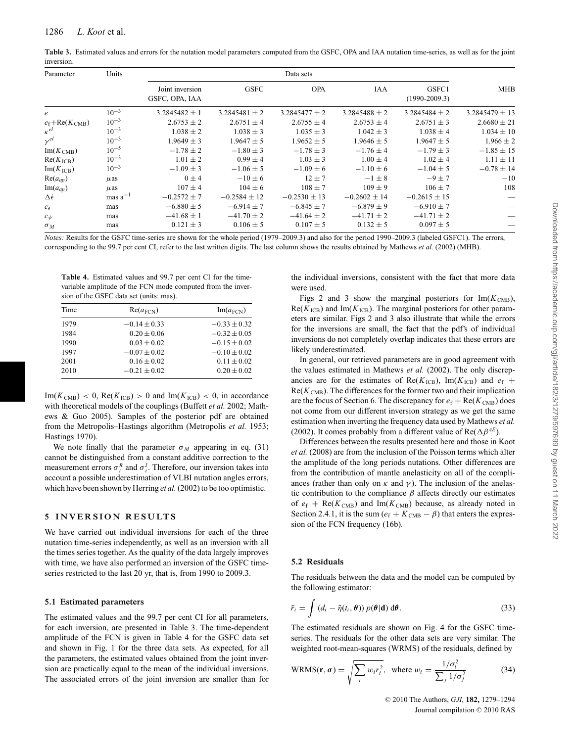**Table 3.** Estimated values and errors for the nutation model parameters computed from the GSFC, OPA and IAA nutation time-series, as well as for the joint inversion.

| Parameter                         | Units               | Data sets                         |                   |                   |                   |                            |                    |
|-----------------------------------|---------------------|-----------------------------------|-------------------|-------------------|-------------------|----------------------------|--------------------|
|                                   |                     | Joint inversion<br>GSFC, OPA, IAA | <b>GSFC</b>       | <b>OPA</b>        | IAA               | GSFC1<br>$(1990 - 2009.3)$ | <b>MHB</b>         |
| $\epsilon$                        | $10^{-3}$           | $3.2845482 \pm 1$                 | $3.2845481 \pm 2$ | $3.2845477 \pm 2$ | $3.2845488 \pm 2$ | $3.2845484 \pm 2$          | $3.2845479 \pm 13$ |
| $e_f + \text{Re}(K_{\text{CMB}})$ | $10^{-3}$           | $2.6753 \pm 2$                    | $2.6751 \pm 4$    | $2.6755 \pm 4$    | $2.6753 \pm 4$    | $2.6751 \pm 3$             | $2.6680 \pm 21$    |
| $\kappa^{el}$                     | $10^{-3}$           | $1.038 \pm 2$                     | $1.038 \pm 3$     | $1.035 \pm 3$     | $1.042 \pm 3$     | $1.038 \pm 4$              | $1.034 \pm 10$     |
| $\nu$ <sup>el</sup>               | $10^{-3}$           | $1.9649 \pm 3$                    | $1.9647 \pm 5$    | $1.9652 \pm 5$    | $1.9646 \pm 5$    | $1.9647 \pm 5$             | $1.966 \pm 2$      |
| Im(K <sub>CMB</sub> )             | $10^{-5}$           | $-1.78 \pm 2$                     | $-1.80 \pm 3$     | $-1.78 \pm 3$     | $-1.76 \pm 4$     | $-1.79 \pm 3$              | $-1.85 \pm 15$     |
| $Re(K_{ICB})$                     | $10^{-3}$           | $1.01 \pm 2$                      | $0.99 \pm 4$      | $1.03 \pm 3$      | $1.00 \pm 4$      | $1.02 \pm 4$               | $1.11 \pm 11$      |
| $Im(K_{ICB})$                     | $10^{-3}$           | $-1.09 \pm 3$                     | $-1.06 \pm 5$     | $-1.09 \pm 6$     | $-1.10 \pm 6$     | $-1.04 \pm 5$              | $-0.78 \pm 14$     |
| $Re(a_{ap})$                      | $\mu$ as            | $0 \pm 4$                         | $-10\pm 6$        | $12 \pm 7$        | $-1\pm 8$         | $-9\pm7$                   | $-10$              |
| $\text{Im}(a_{ap})$               | $\mu$ as            | $107 \pm 4$                       | $104 \pm 6$       | $108 \pm 7$       | $109 \pm 9$       | $106 \pm 7$                | 108                |
| $\Delta\dot{\epsilon}$            | $\text{mas a}^{-1}$ | $-0.2572 \pm 7$                   | $-0.2584 \pm 12$  | $-0.2530 \pm 13$  | $-0.2602 \pm 14$  | $-0.2615 \pm 15$           |                    |
| $c_{\epsilon}$                    | mas                 | $-6.880 \pm 5$                    | $-6.914 \pm 7$    | $-6.845 \pm 7$    | $-6.879 \pm 9$    | $-6.910 \pm 7$             |                    |
| $c_v$                             | mas                 | $-41.68 \pm 1$                    | $-41.70 \pm 2$    | $-41.64 \pm 2$    | $-41.71 \pm 2$    | $-41.71 \pm 2$             |                    |
| $\sigma_M$                        | mas                 | $0.121 \pm 3$                     | $0.106 \pm 5$     | $0.107 \pm 5$     | $0.132 \pm 5$     | $0.097 \pm 5$              |                    |

*Notes:* Results for the GSFC time-series are shown for the whole period (1979–2009.3) and also for the period 1990–2009.3 (labeled GSFC1). The errors, corresponding to the 99.7 per cent CI, refer to the last written digits. The last column shows the results obtained by Mathews *et al.* (2002) (MHB).

**Table 4.** Estimated values and 99.7 per cent CI for the timevariable amplitude of the FCN mode computed from the inversion of the GSFC data set (units: mas).

| Time | $Re(a_{\text{FCN}})$ | $Im(a_{\text{FCN}})$ |
|------|----------------------|----------------------|
| 1979 | $-0.14 \pm 0.33$     | $-0.33 \pm 0.32$     |
| 1984 | $0.20 \pm 0.06$      | $-0.32 \pm 0.05$     |
| 1990 | $0.03 \pm 0.02$      | $-0.15 \pm 0.02$     |
| 1997 | $-0.07 \pm 0.02$     | $-0.10 \pm 0.02$     |
| 2001 | $0.16 \pm 0.02$      | $0.11 \pm 0.02$      |
| 2010 | $-0.21 \pm 0.02$     | $0.20 \pm 0.02$      |

 $Im(K<sub>CMB</sub>)$  < 0,  $Re(K<sub>ICB</sub>)$  > 0 and  $Im(K<sub>ICB</sub>)$  < 0, in accordance with theoretical models of the couplings (Buffett *et al.* 2002; Mathews & Guo 2005). Samples of the posterior pdf are obtained from the Metropolis–Hastings algorithm (Metropolis *et al.* 1953; Hastings 1970).

We note finally that the parameter  $\sigma_M$  appearing in eq. (31) cannot be distinguished from a constant additive correction to the measurement errors  $\sigma_i^R$  and  $\sigma_i^I$ . Therefore, our inversion takes into account a possible underestimation of VLBI nutation angles errors, which have been shown by Herring *et al.*(2002) to be too optimistic.

#### **5 INVERSION RESULTS**

We have carried out individual inversions for each of the three nutation time-series independently, as well as an inversion with all the times series together. As the quality of the data largely improves with time, we have also performed an inversion of the GSFC timeseries restricted to the last 20 yr, that is, from 1990 to 2009.3.

#### **5.1 Estimated parameters**

The estimated values and the 99.7 per cent CI for all parameters, for each inversion, are presented in Table 3. The time-dependent amplitude of the FCN is given in Table 4 for the GSFC data set and shown in Fig. 1 for the three data sets. As expected, for all the parameters, the estimated values obtained from the joint inversion are practically equal to the mean of the individual inversions. The associated errors of the joint inversion are smaller than for

the individual inversions, consistent with the fact that more data were used.

Figs 2 and 3 show the marginal posteriors for  $Im(K<sub>CMB</sub>)$ ,  $Re(K_{ICB})$  and  $Im(K_{ICB})$ . The marginal posteriors for other parameters are similar. Figs 2 and 3 also illustrate that while the errors for the inversions are small, the fact that the pdf's of individual inversions do not completely overlap indicates that these errors are likely underestimated.

In general, our retrieved parameters are in good agreement with the values estimated in Mathews *et al.* (2002). The only discrepancies are for the estimates of  $Re(K_{ICB})$ , Im( $K_{ICB}$ ) and  $e_f$  +  $Re(K<sub>CMB</sub>)$ . The differences for the former two and their implication are the focus of Section 6. The discrepancy for  $e_f + \text{Re}(K_{\text{CMB}})$  does not come from our different inversion strategy as we get the same estimation when inverting the frequency data used by Mathews *et al.* (2002). It comes probably from a different value of Re( $\Delta \beta^{AE}$ ).

Differences between the results presented here and those in Koot *et al.* (2008) are from the inclusion of the Poisson terms which alter the amplitude of the long periods nutations. Other differences are from the contribution of mantle anelasticity on all of the compliances (rather than only on  $\kappa$  and  $\gamma$ ). The inclusion of the anelastic contribution to the compliance  $\beta$  affects directly our estimates of  $e_f$  + Re( $K_{\text{CMB}}$ ) and Im( $K_{\text{CMB}}$ ) because, as already noted in Section 2.4.1, it is the sum ( $e_f + K_{\text{CMB}} - \beta$ ) that enters the expression of the FCN frequency (16b).

#### **5.2 Residuals**

The residuals between the data and the model can be computed by the following estimator:

$$
\bar{r}_i = \int \left(d_i - \tilde{\eta}(t_i, \boldsymbol{\theta})\right) p(\boldsymbol{\theta}|\mathbf{d}) \, \mathrm{d}\boldsymbol{\theta}.\tag{33}
$$

The estimated residuals are shown on Fig. 4 for the GSFC timeseries. The residuals for the other data sets are very similar. The weighted root-mean-squares (WRMS) of the residuals, defined by

WRMS(
$$
\mathbf{r}, \sigma
$$
) =  $\sqrt{\sum_{i} w_i r_i^2}$ , where  $w_i = \frac{1/\sigma_i^2}{\sum_{j} 1/\sigma_j^2}$  (34)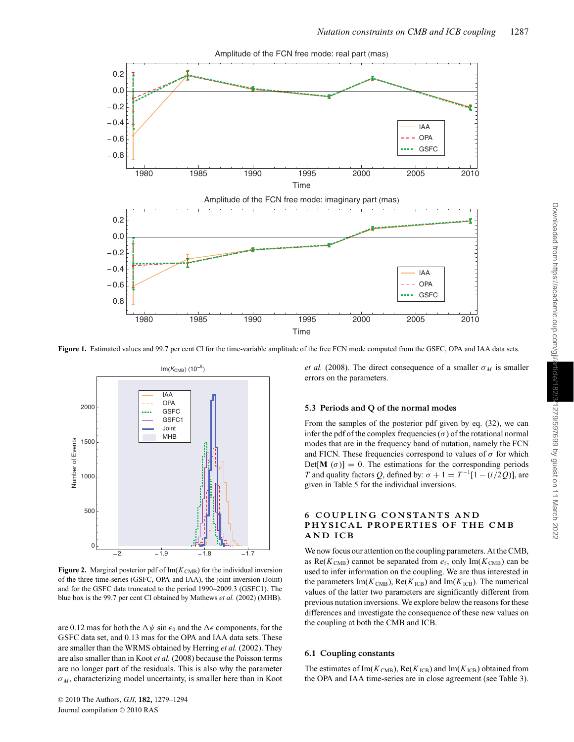

Figure 1. Estimated values and 99.7 per cent CI for the time-variable amplitude of the free FCN mode computed from the GSFC, OPA and IAA data sets.



**Figure 2.** Marginal posterior pdf of  $Im(K<sub>CMB</sub>)$  for the individual inversion of the three time-series (GSFC, OPA and IAA), the joint inversion (Joint) and for the GSFC data truncated to the period 1990–2009.3 (GSFC1). The blue box is the 99.7 per cent CI obtained by Mathews *et al.* (2002) (MHB).

are 0.12 mas for both the  $\Delta \psi$  sin  $\epsilon_0$  and the  $\Delta \epsilon$  components, for the GSFC data set, and 0.13 mas for the OPA and IAA data sets. These are smaller than the WRMS obtained by Herring *et al.* (2002). They are also smaller than in Koot *et al.* (2008) because the Poisson terms are no longer part of the residuals. This is also why the parameter  $\sigma_M$ , characterizing model uncertainty, is smaller here than in Koot *et al.* (2008). The direct consequence of a smaller  $\sigma_M$  is smaller errors on the parameters.

# **5.3 Periods and Q of the normal modes**

From the samples of the posterior pdf given by eq. (32), we can infer the pdf of the complex frequencies  $(\sigma)$  of the rotational normal modes that are in the frequency band of nutation, namely the FCN and FICN. These frequencies correspond to values of  $\sigma$  for which Det[**M**  $(\sigma)$ ] = 0. The estimations for the corresponding periods *T* and quality factors *Q*, defined by:  $\sigma + 1 = T^{-1}[1 - (i/2Q)]$ , are given in Table 5 for the individual inversions.

# **6 COUPLING CONSTANTS AND PHYSICAL PROPERTIES OF THE CMB AND ICB**

We now focus our attention on the coupling parameters. At the CMB, as Re( $K_{\text{CMB}}$ ) cannot be separated from  $e_f$ , only Im( $K_{\text{CMB}}$ ) can be used to infer information on the coupling. We are thus interested in the parameters  $Im(K_{CMB})$ ,  $Re(K_{ICB})$  and  $Im(K_{ICB})$ . The numerical values of the latter two parameters are significantly different from previous nutation inversions. We explore below the reasons for these differences and investigate the consequence of these new values on the coupling at both the CMB and ICB.

# **6.1 Coupling constants**

The estimates of  $Im(K_{CMB})$ ,  $Re(K_{ICB})$  and  $Im(K_{ICB})$  obtained from the OPA and IAA time-series are in close agreement (see Table 3).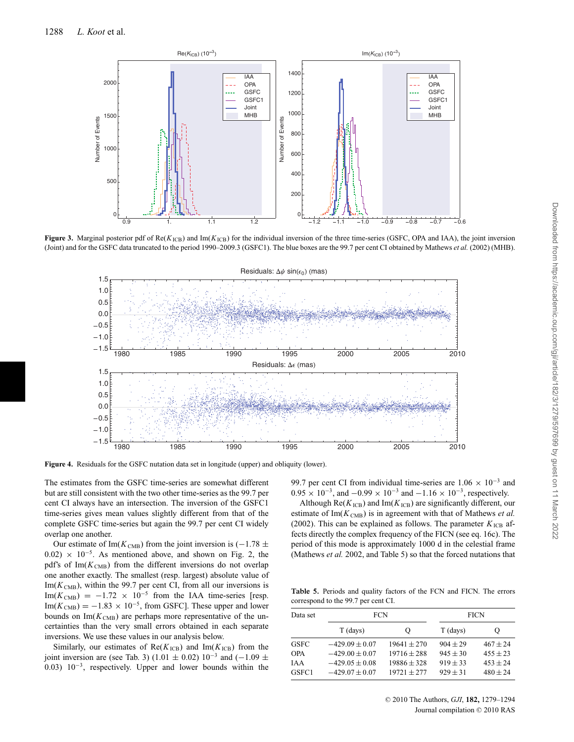

**Figure 3.** Marginal posterior pdf of Re( $K_{\text{ICB}}$ ) and Im( $K_{\text{ICB}}$ ) for the individual inversion of the three time-series (GSFC, OPA and IAA), the joint inversion (Joint) and for the GSFC data truncated to the period 1990–2009.3 (GSFC1). The blue boxes are the 99.7 per cent CI obtained by Mathews *et al.* (2002) (MHB).



**Figure 4.** Residuals for the GSFC nutation data set in longitude (upper) and obliquity (lower).

The estimates from the GSFC time-series are somewhat different but are still consistent with the two other time-series as the 99.7 per cent CI always have an intersection. The inversion of the GSFC1 time-series gives mean values slightly different from that of the complete GSFC time-series but again the 99.7 per cent CI widely overlap one another.

Our estimate of Im( $K<sub>CMB</sub>$ ) from the joint inversion is (−1.78  $\pm$ 0.02)  $\times$  10<sup>-5</sup>. As mentioned above, and shown on Fig. 2, the pdf's of  $Im(K<sub>CMB</sub>)$  from the different inversions do not overlap one another exactly. The smallest (resp. largest) absolute value of  $Im(K<sub>CMB</sub>)$ , within the 99.7 per cent CI, from all our inversions is  $\text{Im}(K_{\text{CMB}}) = -1.72 \times 10^{-5}$  from the IAA time-series [resp.  $Im(K<sub>CMB</sub>) = -1.83 \times 10^{-5}$ , from GSFC]. These upper and lower bounds on  $Im(K<sub>CMB</sub>)$  are perhaps more representative of the uncertainties than the very small errors obtained in each separate inversions. We use these values in our analysis below.

Similarly, our estimates of  $Re(K_{ICB})$  and  $Im(K_{ICB})$  from the joint inversion are (see Tab. 3) (1.01  $\pm$  0.02) 10<sup>-3</sup> and (-1.09  $\pm$ 0.03) 10<sup>−</sup>3, respectively. Upper and lower bounds within the 99.7 per cent CI from individual time-series are  $1.06 \times 10^{-3}$  and  $0.95 \times 10^{-3}$ , and  $-0.99 \times 10^{-3}$  and  $-1.16 \times 10^{-3}$ , respectively.

Although  $Re(K_{ICB})$  and  $Im(K_{ICB})$  are significantly different, our estimate of  $Im(K<sub>CMB</sub>)$  is in agreement with that of Mathews *et al.* (2002). This can be explained as follows. The parameter  $K_{\text{ICB}}$  affects directly the complex frequency of the FICN (see eq. 16c). The period of this mode is approximately 1000 d in the celestial frame (Mathews *et al.* 2002, and Table 5) so that the forced nutations that

**Table 5.** Periods and quality factors of the FCN and FICN. The errors correspond to the 99.7 per cent CI.

| Data set     | <b>FCN</b>                             |                                | <b>FICN</b>              |                          |
|--------------|----------------------------------------|--------------------------------|--------------------------|--------------------------|
|              | T (days)                               | Ő                              | T (days)                 | Ő                        |
| GSFC         | $-429.09 + 0.07$                       | $19641 + 270$                  | $904 + 29$               | $467 + 24$               |
| OPA          | $-429.00 + 0.07$                       | $19716 + 288$                  | $945 + 30$               | $455 + 23$               |
| IAA<br>GSFC1 | $-429.05 + 0.08$<br>$-429.07 \pm 0.07$ | $19886 + 328$<br>$19721 + 277$ | $919 + 33$<br>$929 + 31$ | $453 + 24$<br>$480 + 24$ |
|              |                                        |                                |                          |                          |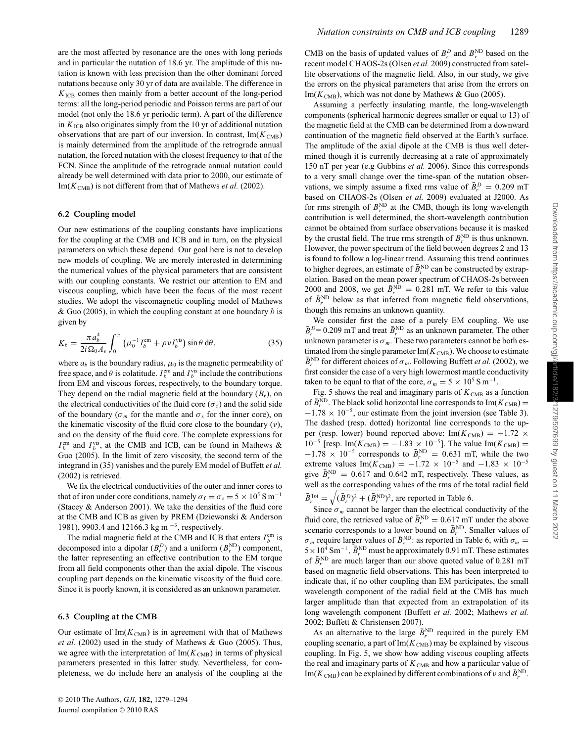are the most affected by resonance are the ones with long periods and in particular the nutation of 18.6 yr. The amplitude of this nutation is known with less precision than the other dominant forced nutations because only 30 yr of data are available. The difference in  $K_{\text{ICB}}$  comes then mainly from a better account of the long-period terms: all the long-period periodic and Poisson terms are part of our model (not only the 18.6 yr periodic term). A part of the difference in  $K_{\text{ICB}}$  also originates simply from the 10 yr of additional nutation observations that are part of our inversion. In contrast,  $Im(K<sub>CMB</sub>)$ is mainly determined from the amplitude of the retrograde annual nutation, the forced nutation with the closest frequency to that of the FCN. Since the amplitude of the retrograde annual nutation could already be well determined with data prior to 2000, our estimate of  $Im(K<sub>CMB</sub>)$  is not different from that of Mathews *et al.* (2002).

#### **6.2 Coupling model**

Our new estimations of the coupling constants have implications for the coupling at the CMB and ICB and in turn, on the physical parameters on which these depend. Our goal here is not to develop new models of coupling. We are merely interested in determining the numerical values of the physical parameters that are consistent with our coupling constants. We restrict our attention to EM and viscous coupling, which have been the focus of the most recent studies. We adopt the viscomagnetic coupling model of Mathews & Guo (2005), in which the coupling constant at one boundary *b* is given by

$$
K_b = \frac{\pi a_b^4}{2i\Omega_0 A_s} \int_0^\pi \left(\mu_0^{-1} I_b^{\rm em} + \rho \nu I_b^{\rm vis}\right) \sin \theta \, \mathrm{d}\theta,\tag{35}
$$

where  $a<sub>b</sub>$  is the boundary radius,  $\mu_0$  is the magnetic permeability of free space, and  $\theta$  is colatitude.  $I_b^{\text{em}}$  and  $I_b^{\text{vis}}$  include the contributions from EM and viscous forces, respectively, to the boundary torque. They depend on the radial magnetic field at the boundary  $(B_r)$ , on the electrical conductivities of the fluid core ( $\sigma_f$ ) and the solid side of the boundary ( $\sigma_m$  for the mantle and  $\sigma_s$  for the inner core), on the kinematic viscosity of the fluid core close to the boundary  $(v)$ , and on the density of the fluid core. The complete expressions for  $I_b^{\text{em}}$  and  $I_b^{\text{vis}}$ , at the CMB and ICB, can be found in Mathews & Guo (2005). In the limit of zero viscosity, the second term of the integrand in (35) vanishes and the purely EM model of Buffett *et al.* (2002) is retrieved.

We fix the electrical conductivities of the outer and inner cores to that of iron under core conditions, namely  $\sigma_f = \sigma_s = 5 \times 10^5$  S m<sup>-1</sup> (Stacey & Anderson 2001). We take the densities of the fluid core at the CMB and ICB as given by PREM (Dziewonski & Anderson 1981), 9903.4 and 12166.3 kg m<sup>-3</sup>, respectively.

The radial magnetic field at the CMB and ICB that enters  $I_b^{\text{em}}$  is decomposed into a dipolar  $(B_r^D)$  and a uniform  $(B_r^{\text{ND}})$  component, the latter representing an effective contribution to the EM torque from all field components other than the axial dipole. The viscous coupling part depends on the kinematic viscosity of the fluid core. Since it is poorly known, it is considered as an unknown parameter.

#### **6.3 Coupling at the CMB**

Our estimate of  $Im(K<sub>CMB</sub>)$  is in agreement with that of Mathews *et al.* (2002) used in the study of Mathews & Guo (2005). Thus, we agree with the interpretation of  $Im(K_{CMB})$  in terms of physical parameters presented in this latter study. Nevertheless, for completeness, we do include here an analysis of the coupling at the

CMB on the basis of updated values of  $B_r^D$  and  $B_r^{\text{ND}}$  based on the recent model CHAOS-2s (Olsen *et al.* 2009) constructed from satellite observations of the magnetic field. Also, in our study, we give the errors on the physical parameters that arise from the errors on Im( $K<sub>CMB</sub>$ ), which was not done by Mathews & Guo (2005).

Assuming a perfectly insulating mantle, the long-wavelength components (spherical harmonic degrees smaller or equal to 13) of the magnetic field at the CMB can be determined from a downward continuation of the magnetic field observed at the Earth's surface. The amplitude of the axial dipole at the CMB is thus well determined though it is currently decreasing at a rate of approximately 150 nT per year (e.g Gubbins *et al.* 2006). Since this corresponds to a very small change over the time-span of the nutation observations, we simply assume a fixed rms value of  $\bar{B}_r^D = 0.209 \text{ mT}$ based on CHAOS-2s (Olsen *et al.* 2009) evaluated at J2000. As for rms strength of  $B_r^{\text{ND}}$  at the CMB, though its long wavelength contribution is well determined, the short-wavelength contribution cannot be obtained from surface observations because it is masked by the crustal field. The true rms strength of  $B_r^{\text{ND}}$  is thus unknown. However, the power spectrum of the field between degrees 2 and 13 is found to follow a log-linear trend. Assuming this trend continues to higher degrees, an estimate of  $\bar{B}_r^{\text{ND}}$  can be constructed by extrapolation. Based on the mean power spectrum of CHAOS-2s between 2000 and 2008, we get  $\bar{B}_r^{\text{ND}} = 0.281$  mT. We refer to this value of  $\bar{B}_r^{\text{ND}}$  below as that inferred from magnetic field observations, though this remains an unknown quantity.

We consider first the case of a purely EM coupling. We use  $\bar{B}_r^D$  = 0.209 mT and treat  $\bar{B}_r^{\text{ND}}$  as an unknown parameter. The other unknown parameter is  $\sigma_m$ . These two parameters cannot be both estimated from the single parameter  $Im(K<sub>CMB</sub>)$ . We choose to estimate  $\bar{B}_r^{\text{ND}}$  for different choices of  $\sigma_m$ . Following Buffett *et al.* (2002), we first consider the case of a very high lowermost mantle conductivity taken to be equal to that of the core,  $\sigma_m = 5 \times 10^5 \text{ S m}^{-1}$ .

Fig. 5 shows the real and imaginary parts of  $K_{\text{CMB}}$  as a function of  $\bar{B}_r^{\text{ND}}$ . The black solid horizontal line corresponds to  $\text{Im}(K_{\text{CMB}})$  =  $-1.78 \times 10^{-5}$ , our estimate from the joint inversion (see Table 3). The dashed (resp. dotted) horizontal line corresponds to the upper (resp. lower) bound reported above: Im( $K_{\text{CMB}}$ ) = −1.72 ×  $10^{-5}$  [resp. Im( $K_{\text{CMB}}$ ) = −1.83 × 10<sup>-5</sup>]. The value Im( $K_{\text{CMB}}$ ) =  $-1.78 \times 10^{-5}$  corresponds to  $\bar{B}_r^{\text{ND}} = 0.631$  mT, while the two extreme values Im( $K_{\text{CMB}}$ ) = −1.72 × 10<sup>-5</sup> and −1.83 × 10<sup>-5</sup> give  $\bar{B}_r^{\text{ND}} = 0.617$  and 0.642 mT, respectively. These values, as well as the corresponding values of the rms of the total radial field  $\bar{B}_r^{\text{Tot}} = \sqrt{(\bar{B}_r^D)^2 + (\bar{B}_r^{\text{ND}})^2}$ , are reported in Table 6.

Since  $\sigma_m$  cannot be larger than the electrical conductivity of the fluid core, the retrieved value of  $\bar{B}_r^{\text{ND}} = 0.617 \text{ mT}$  under the above scenario corresponds to a lower bound on  $\bar{B}_r^{\text{ND}}$ . Smaller values of  $\sigma_m$  require larger values of  $\bar{B}_r^{\text{ND}}$ : as reported in Table 6, with  $\sigma_m =$  $5 \times 10^4$  Sm<sup>-1</sup>,  $\bar{B}_r^{\text{ND}}$  must be approximately 0.91 mT. These estimates of  $\bar{B}_r^{\text{ND}}$  are much larger than our above quoted value of 0.281 mT based on magnetic field observations. This has been interpreted to indicate that, if no other coupling than EM participates, the small wavelength component of the radial field at the CMB has much larger amplitude than that expected from an extrapolation of its long wavelength component (Buffett *et al.* 2002; Mathews *et al.* 2002; Buffett & Christensen 2007).

As an alternative to the large  $\bar{B}_r^{\text{ND}}$  required in the purely EM coupling scenario, a part of  $Im(K<sub>CMB</sub>)$  may be explained by viscous coupling. In Fig. 5, we show how adding viscous coupling affects the real and imaginary parts of  $K_{\text{CMB}}$  and how a particular value of Im( $K_{\text{CMB}}$ ) can be explained by different combinations of v and  $\bar{B}_r^{\text{ND}}$ .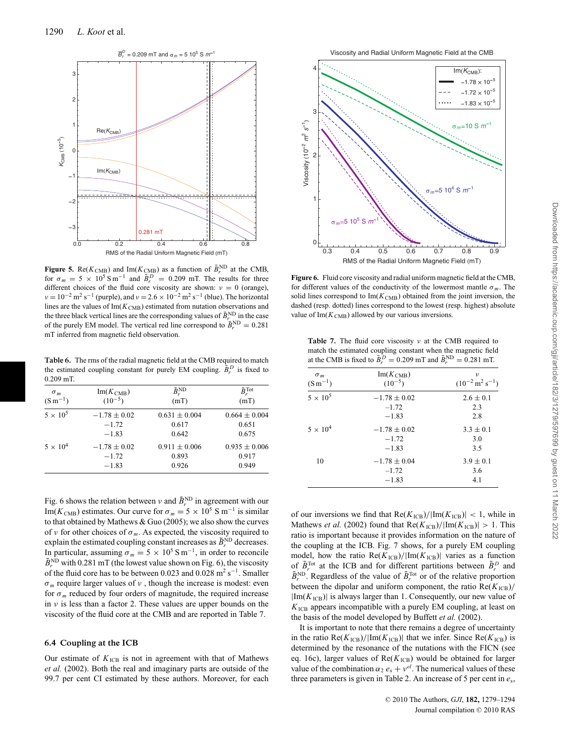

**Figure 5.** Re( $K_{\text{CMB}}$ ) and Im( $K_{\text{CMB}}$ ) as a function of  $\bar{B}_r^{\text{ND}}$  at the CMB, for  $\sigma_m = 5 \times 10^5 \text{ S m}^{-1}$  and  $\bar{B}_r^D = 0.209 \text{ mT}$ . The results for three different choices of the fluid core viscosity are shown:  $v = 0$  (orange),  $\nu = 10^{-2}$  m<sup>2</sup> s<sup>-1</sup> (purple), and  $\nu = 2.6 \times 10^{-2}$  m<sup>2</sup> s<sup>-1</sup> (blue). The horizontal lines are the values of  $Im(K<sub>CMB</sub>)$  estimated from nutation observations and the three black vertical lines are the corresponding values of  $\bar{B}_r^{\text{ND}}$  in the case of the purely EM model. The vertical red line correspond to  $\bar{B}_r^{\text{ND}} = 0.281$ mT inferred from magnetic field observation.

**Table 6.** The rms of the radial magnetic field at the CMB required to match the estimated coupling constant for purely EM coupling.  $\bar{B}_r^D$  is fixed to 0.209 mT.

| $\sigma_m$      | $Im(K_{CMB})$    | $\bar{B}_r^{\rm ND}$ | $\bar{B}_r^{\rm Tot}$ |
|-----------------|------------------|----------------------|-----------------------|
| $(S m^{-1})$    | $(10^{-5})$      | (mT)                 | (mT)                  |
| $5 \times 10^5$ | $-1.78 \pm 0.02$ | $0.631 \pm 0.004$    | $0.664 \pm 0.004$     |
|                 | $-1.72$          | 0.617                | 0.651                 |
|                 | $-1.83$          | 0.642                | 0.675                 |
| $5 \times 10^4$ | $-1.78 \pm 0.02$ | $0.911 \pm 0.006$    | $0.935 \pm 0.006$     |
|                 | $-1.72$          | 0.893                | 0.917                 |
|                 | $-1.83$          | 0.926                | 0.949                 |

Fig. 6 shows the relation between  $\nu$  and  $\bar{B}_r^{\text{ND}}$  in agreement with our Im( $K_{\text{CMB}}$ ) estimates. Our curve for  $\sigma_m = 5 \times 10^5$  S m<sup>-1</sup> is similar to that obtained by Mathews & Guo (2005); we also show the curves of *v* for other choices of  $\sigma_m$ . As expected, the viscosity required to explain the estimated coupling constant increases as  $\bar{B}_r^{\text{ND}}$  decreases. In particular, assuming  $\sigma_m = 5 \times 10^5$  S m<sup>-1</sup>, in order to reconcile  $\bar{B}_r^{\text{ND}}$  with 0.281 mT (the lowest value shown on Fig. 6), the viscosity of the fluid core has to be between 0.023 and 0.028 m<sup>2</sup> s<sup>-1</sup>. Smaller  $\sigma_m$  require larger values of  $\nu$ , though the increase is modest: even for  $\sigma_m$  reduced by four orders of magnitude, the required increase in  $\nu$  is less than a factor 2. These values are upper bounds on the viscosity of the fluid core at the CMB and are reported in Table 7.

### **6.4 Coupling at the ICB**

Our estimate of  $K_{\text{ICB}}$  is not in agreement with that of Mathews *et al.* (2002). Both the real and imaginary parts are outside of the 99.7 per cent CI estimated by these authors. Moreover, for each

Viscosity and Radial Uniform Magnetic Field at the CMB



**Figure 6.** Fluid core viscosity and radial uniform magnetic field at the CMB, for different values of the conductivity of the lowermost mantle  $\sigma_m$ . The solid lines correspond to  $Im(K<sub>CMB</sub>)$  obtained from the joint inversion, the dashed (resp. dotted) lines correspond to the lowest (resp. highest) absolute value of  $Im(K<sub>CMB</sub>)$  allowed by our various inversions.

**Table 7.** The fluid core viscosity ν at the CMB required to match the estimated coupling constant when the magnetic field at the CMB is fixed to  $\bar{B}_r^D = 0.209$  mT and  $\bar{B}_r^{\text{ND}} = 0.281$  mT.

| $\sigma_m$<br>$(S m^{-1})$ | $Im(K_{CMB})$<br>$(10^{-5})$           | ν<br>$(10^{-2} \text{ m}^2 \text{ s}^{-1})$ |
|----------------------------|----------------------------------------|---------------------------------------------|
| $5 \times 10^5$            | $-1.78 \pm 0.02$<br>$-1.72$<br>$-1.83$ | $2.6 \pm 0.1$<br>2.3<br>2.8                 |
| $5 \times 10^4$            | $-1.78 \pm 0.02$<br>$-1.72$<br>$-1.83$ | $3.3 \pm 0.1$<br>3.0<br>3.5                 |
| 10                         | $-1.78 \pm 0.04$<br>$-1.72$<br>$-1.83$ | $3.9 \pm 0.1$<br>3.6<br>4.1                 |

of our inversions we find that  $Re(K_{ICB})/|Im(K_{ICB})| < 1$ , while in Mathews *et al.* (2002) found that  $Re(K_{ICB})/|Im(K_{ICB})| > 1$ . This ratio is important because it provides information on the nature of the coupling at the ICB. Fig. 7 shows, for a purely EM coupling model, how the ratio  $\text{Re}(K_{\text{ICB}})/|\text{Im}(K_{\text{ICB}})|$  varies as a function of  $\bar{B}_r^{\text{Tot}}$  at the ICB and for different partitions between  $\bar{B}_r^D$  and  $\bar{B}_r^{\text{ND}}$ . Regardless of the value of  $\bar{B}_r^{\text{Tot}}$  or of the relative proportion between the dipolar and uniform component, the ratio  $Re(K_{ICB})/$  $|Im(K<sub>ICB</sub>)|$  is always larger than 1. Consequently, our new value of  $K_{\text{ICB}}$  appears incompatible with a purely EM coupling, at least on the basis of the model developed by Buffett *et al.* (2002).

It is important to note that there remains a degree of uncertainty in the ratio  $Re(K_{ICB})/|Im(K_{ICB})|$  that we infer. Since  $Re(K_{ICB})$  is determined by the resonance of the nutations with the FICN (see eq. 16c), larger values of Re( $K_{\text{ICB}}$ ) would be obtained for larger value of the combination  $\alpha_2 e_s + v^{el}$ . The numerical values of these three parameters is given in Table 2. An increase of 5 per cent in *e*s,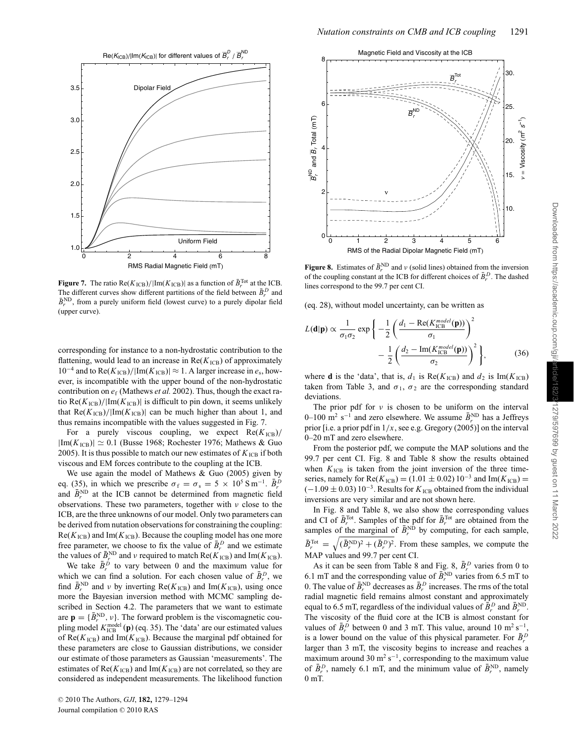

**Figure 7.** The ratio  $Re(K_{ICB})/|Im(K_{ICB})|$  as a function of  $\bar{B}_r^{\text{Tot}}$  at the ICB. The different curves show different partitions of the field between  $\bar{B}_r^D$  and  $\bar{B}_r^{\text{ND}}$ , from a purely uniform field (lowest curve) to a purely dipolar field (upper curve).

corresponding for instance to a non-hydrostatic contribution to the flattening, would lead to an increase in  $Re(K<sub>ICB</sub>)$  of approximately 10<sup>−4</sup> and to Re( $K_{\text{ICB}}$ )/|Im( $K_{\text{ICB}}$ )| ≈ 1. A larger increase in  $e_s$ , however, is incompatible with the upper bound of the non-hydrostatic contribution on  $e_f$  (Mathews *et al.* 2002). Thus, though the exact ratio Re( $K_{\text{ICB}}$ )/|Im( $K_{\text{ICB}}$ )| is difficult to pin down, it seems unlikely that  $\text{Re}(K_{\text{ICB}})/|\text{Im}(K_{\text{ICB}})|$  can be much higher than about 1, and thus remains incompatible with the values suggested in Fig. 7.

For a purely viscous coupling, we expect  $Re(K_{ICB})/$  $|Im(K<sub>ICB</sub>)| \simeq 0.1$  (Busse 1968; Rochester 1976; Mathews & Guo 2005). It is thus possible to match our new estimates of  $K_{\text{ICB}}$  if both viscous and EM forces contribute to the coupling at the ICB.

We use again the model of Mathews & Guo (2005) given by eq. (35), in which we prescribe  $\sigma_f = \sigma_s = 5 \times 10^5 \,\mathrm{S \,m^{-1}}$ .  $\bar{B}_r^D$ and  $\bar{B}_r^{\text{ND}}$  at the ICB cannot be determined from magnetic field observations. These two parameters, together with  $\nu$  close to the ICB, are the three unknowns of our model. Only two parameters can be derived from nutation observations for constraining the coupling:  $Re(K<sub>ICB</sub>)$  and Im( $K<sub>ICB</sub>$ ). Because the coupling model has one more free parameter, we choose to fix the value of  $\bar{B}_r^D$  and we estimate the values of  $\bar{B}_r^{\text{ND}}$  and  $\nu$  required to match Re( $K_{\text{ICB}}$ ) and Im( $K_{\text{ICB}}$ ).

We take  $\bar{B}_r^D$  to vary between 0 and the maximum value for which we can find a solution. For each chosen value of  $\bar{B}_r^D$ , we find  $\bar{B}_r^{\text{ND}}$  and  $\nu$  by inverting Re( $K_{\text{ICB}}$ ) and Im( $K_{\text{ICB}}$ ), using once more the Bayesian inversion method with MCMC sampling described in Section 4.2. The parameters that we want to estimate are  $\mathbf{p} = {\bar{B}_r^{\text{ND}}}$ ,  $v$ . The forward problem is the viscomagnetic coupling model  $K_{\text{ICB}}^{\text{model}}(\mathbf{p})$  (eq. 35). The 'data' are our estimated values of Re( $K_{\text{ICB}}$ ) and Im( $K_{\text{ICB}}$ ). Because the marginal pdf obtained for these parameters are close to Gaussian distributions, we consider our estimate of those parameters as Gaussian 'measurements'. The estimates of  $Re(K_{ICB})$  and  $Im(K_{ICB})$  are not correlated, so they are considered as independent measurements. The likelihood function



**Figure 8.** Estimates of  $\bar{B}_r^{\text{ND}}$  and v (solid lines) obtained from the inversion of the coupling constant at the ICB for different choices of  $\bar{B}_r^D$ . The dashed lines correspond to the 99.7 per cent CI.

(eq. 28), without model uncertainty, can be written as

$$
L(\mathbf{d}|\mathbf{p}) \propto \frac{1}{\sigma_1 \sigma_2} \exp\left\{-\frac{1}{2} \left(\frac{d_1 - \text{Re}(K_{\text{ICB}}^{model}(\mathbf{p}))}{\sigma_1}\right)^2 - \frac{1}{2} \left(\frac{d_2 - \text{Im}(K_{\text{ICB}}^{model}(\mathbf{p}))}{\sigma_2}\right)^2\right\},\tag{36}
$$

where **d** is the 'data', that is,  $d_1$  is Re( $K_{\text{ICB}}$ ) and  $d_2$  is Im( $K_{\text{ICB}}$ ) taken from Table 3, and  $\sigma_1$ ,  $\sigma_2$  are the corresponding standard deviations.

The prior pdf for  $\nu$  is chosen to be uniform on the interval 0–100 m<sup>2</sup> s<sup>-1</sup> and zero elsewhere. We assume  $\bar{B}_r^{\text{ND}}$  has a Jeffreys prior [i.e. a prior pdf in  $1/x$ , see e.g. Gregory (2005)] on the interval 0–20 mT and zero elsewhere.

From the posterior pdf, we compute the MAP solutions and the 99.7 per cent CI. Fig. 8 and Table 8 show the results obtained when  $K_{\text{ICB}}$  is taken from the joint inversion of the three timeseries, namely for Re( $K_{\text{ICB}}$ ) = (1.01 ± 0.02) 10<sup>-3</sup> and Im( $K_{\text{ICB}}$ ) =  $(-1.09 \pm 0.03) 10^{-3}$ . Results for  $K_{\text{ICB}}$  obtained from the individual inversions are very similar and are not shown here.

In Fig. 8 and Table 8, we also show the corresponding values and CI of  $\bar{B}_r^{\text{Tot}}$ . Samples of the pdf for  $\bar{B}_r^{\text{Tot}}$  are obtained from the samples of the marginal of  $\bar{B}_r^{\text{ND}}$  by computing, for each sample,  $\bar{B}_r^{\text{Tot}} = \sqrt{(\bar{B}_r^{\text{ND}})^2 + (\bar{B}_r^{\text{D}})^2}$ . From these samples, we compute the MAP values and 99.7 per cent CI.

As it can be seen from Table 8 and Fig. 8,  $\bar{B}_r^D$  varies from 0 to 6.1 mT and the corresponding value of  $\bar{B}_r^{\text{ND}}$  varies from 6.5 mT to 0. The value of  $\bar{B}_r^{\text{ND}}$  decreases as  $\bar{B}_r^D$  increases. The rms of the total radial magnetic field remains almost constant and approximately equal to 6.5 mT, regardless of the individual values of  $\bar{B}_r^D$  and  $\bar{B}_r^{\text{ND}}$ . The viscosity of the fluid core at the ICB is almost constant for values of  $\bar{B}_r^D$  between 0 and 3 mT. This value, around 10 m<sup>2</sup> s<sup>-1</sup>, is a lower bound on the value of this physical parameter. For  $\bar{B}_r^D$ larger than 3 mT, the viscosity begins to increase and reaches a maximum around 30 m<sup>2</sup> s<sup> $-1$ </sup>, corresponding to the maximum value of  $\bar{B}_r^D$ , namely 6.1 mT, and the minimum value of  $\bar{B}_r^{\text{ND}}$ , namely 0 mT.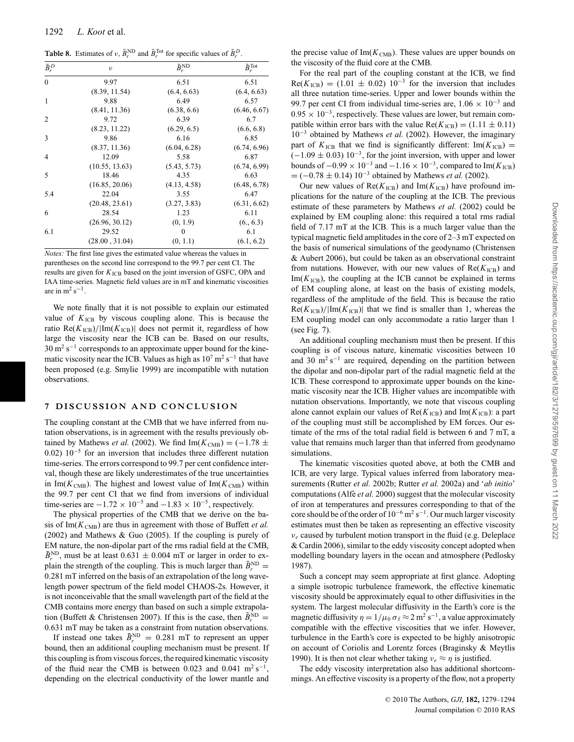**Table 8.** Estimates of  $v$ ,  $\bar{B}_r^{\text{ND}}$  and  $\bar{B}_r^{\text{Tot}}$  for specific values of  $\bar{B}_r^D$ .

| $\bar{B}_r^D$  | $\nu$          | $\bar{B}_r^{\text{ND}}$ | $\bar{B}_r^{\rm Tot}$ |
|----------------|----------------|-------------------------|-----------------------|
| $\mathbf{0}$   | 9.97           | 6.51                    | 6.51                  |
|                | (8.39, 11.54)  | (6.4, 6.63)             | (6.4, 6.63)           |
| $\mathbf{1}$   | 9.88           | 6.49                    | 6.57                  |
|                | (8.41, 11.36)  | (6.38, 6.6)             | (6.46, 6.67)          |
| $\overline{c}$ | 9.72           | 6.39                    | 6.7                   |
|                | (8.23, 11.22)  | (6.29, 6.5)             | (6.6, 6.8)            |
| 3              | 9.86           | 6.16                    | 6.85                  |
|                | (8.37, 11.36)  | (6.04, 6.28)            | (6.74, 6.96)          |
| $\overline{4}$ | 12.09          | 5.58                    | 6.87                  |
|                | (10.55, 13.63) | (5.43, 5.73)            | (6.74, 6.99)          |
| 5              | 18.46          | 4.35                    | 6.63                  |
|                | (16.85, 20.06) | (4.13, 4.58)            | (6.48, 6.78)          |
| 5.4            | 22.04          | 3.55                    | 6.47                  |
|                | (20.48, 23.61) | (3.27, 3.83)            | (6.31, 6.62)          |
| 6              | 28.54          | 1.23                    | 6.11                  |
|                | (26.96, 30.12) | (0, 1.9)                | (6., 6.3)             |
| 6.1            | 29.52          | $\mathbf{0}$            | 6.1                   |
|                | (28.00, 31.04) | (0, 1.1)                | (6.1, 6.2)            |

*Notes:* The first line gives the estimated value whereas the values in parentheses on the second line correspond to the 99.7 per cent CI. The results are given for  $K_{\text{ICB}}$  based on the joint inversion of GSFC, OPA and IAA time-series. Magnetic field values are in mT and kinematic viscosities are in  $m^2 s^{-1}$ .

We note finally that it is not possible to explain our estimated value of  $K_{\text{ICB}}$  by viscous coupling alone. This is because the ratio Re( $K_{\text{ICB}}$ )/|Im( $K_{\text{ICB}}$ )| does not permit it, regardless of how large the viscosity near the ICB can be. Based on our results,  $30 \text{ m}^2 \text{ s}^{-1}$  corresponds to an approximate upper bound for the kinematic viscosity near the ICB. Values as high as  $10^7 \text{ m}^2 \text{ s}^{-1}$  that have been proposed (e.g. Smylie 1999) are incompatible with nutation observations.

## **7 DISCUSSION AND CONCLUSION**

The coupling constant at the CMB that we have inferred from nutation observations, is in agreement with the results previously obtained by Mathews *et al.* (2002). We find Im( $K_{\text{CMB}}$ ) = (−1.78 ± 0.02) 10<sup>−</sup><sup>5</sup> for an inversion that includes three different nutation time-series. The errors correspond to 99.7 per cent confidence interval, though these are likely underestimates of the true uncertainties in Im( $K_{\text{CMB}}$ ). The highest and lowest value of Im( $K_{\text{CMB}}$ ) within the 99.7 per cent CI that we find from inversions of individual time-series are  $-1.72 \times 10^{-5}$  and  $-1.83 \times 10^{-5}$ , respectively.

The physical properties of the CMB that we derive on the basis of  $Im(K<sub>CMB</sub>)$  are thus in agreement with those of Buffett *et al.* (2002) and Mathews & Guo (2005). If the coupling is purely of EM nature, the non-dipolar part of the rms radial field at the CMB,  $\bar{B}_r^{\text{ND}}$ , must be at least  $0.631 \pm 0.004$  mT or larger in order to explain the strength of the coupling. This is much larger than  $\bar{B}_r^{\text{ND}} =$ 0.281 mT inferred on the basis of an extrapolation of the long wavelength power spectrum of the field model CHAOS-2s. However, it is not inconceivable that the small wavelength part of the field at the CMB contains more energy than based on such a simple extrapolation (Buffett & Christensen 2007). If this is the case, then  $\bar{B}_r^{\text{ND}} =$ 0.631 mT may be taken as a constraint from nutation observations.

If instead one takes  $\bar{B}_r^{\text{ND}} = 0.281 \text{ mT}$  to represent an upper bound, then an additional coupling mechanism must be present. If this coupling is from viscous forces, the required kinematic viscosity of the fluid near the CMB is between 0.023 and 0.041 m<sup>2</sup> s<sup>-1</sup>, depending on the electrical conductivity of the lower mantle and

the precise value of  $Im(K<sub>CMB</sub>)$ . These values are upper bounds on the viscosity of the fluid core at the CMB.

For the real part of the coupling constant at the ICB, we find  $Re(K<sub>ICB</sub>) = (1.01 \pm 0.02) 10^{-3}$  for the inversion that includes all three nutation time-series. Upper and lower bounds within the 99.7 per cent CI from individual time-series are,  $1.06 \times 10^{-3}$  and  $0.95 \times 10^{-3}$ , respectively. These values are lower, but remain compatible within error bars with the value  $Re(K_{ICB}) = (1.11 \pm 0.11)$ 10<sup>−</sup><sup>3</sup> obtained by Mathews *et al.* (2002). However, the imaginary part of  $K_{\text{ICB}}$  that we find is significantly different: Im( $K_{\text{ICB}}$ ) =  $(-1.09 \pm 0.03)$  10<sup>-3</sup>, for the joint inversion, with upper and lower bounds of  $-0.99 \times 10^{-3}$  and  $-1.16 \times 10^{-3}$ , compared to Im( $K_{\text{ICB}}$ ) = (−0.78 ± 0.14) 10<sup>−</sup><sup>3</sup> obtained by Mathews *et al.* (2002).

Our new values of  $\text{Re}(K_{\text{ICB}})$  and  $\text{Im}(K_{\text{ICB}})$  have profound implications for the nature of the coupling at the ICB. The previous estimate of these parameters by Mathews *et al.* (2002) could be explained by EM coupling alone: this required a total rms radial field of 7.17 mT at the ICB. This is a much larger value than the typical magnetic field amplitudes in the core of 2–3 mT expected on the basis of numerical simulations of the geodynamo (Christensen & Aubert 2006), but could be taken as an observational constraint from nutations. However, with our new values of  $Re(K_{ICB})$  and  $Im(K<sub>ICB</sub>)$ , the coupling at the ICB cannot be explained in terms of EM coupling alone, at least on the basis of existing models, regardless of the amplitude of the field. This is because the ratio  $Re(K_{ICB})/|Im(K_{ICB})|$  that we find is smaller than 1, whereas the EM coupling model can only accommodate a ratio larger than 1 (see Fig. 7).

An additional coupling mechanism must then be present. If this coupling is of viscous nature, kinematic viscosities between 10 and 30 m<sup>2</sup> s<sup> $-1$ </sup> are required, depending on the partition between the dipolar and non-dipolar part of the radial magnetic field at the ICB. These correspond to approximate upper bounds on the kinematic viscosity near the ICB. Higher values are incompatible with nutation observations. Importantly, we note that viscous coupling alone cannot explain our values of  $Re(K_{ICB})$  and  $Im(K_{ICB})$ : a part of the coupling must still be accomplished by EM forces. Our estimate of the rms of the total radial field is between 6 and 7 mT, a value that remains much larger than that inferred from geodynamo simulations.

The kinematic viscosities quoted above, at both the CMB and ICB, are very large. Typical values inferred from laboratory measurements (Rutter *et al.* 2002b; Rutter *et al.* 2002a) and '*ab initio*' computations (Alfè *et al.* 2000) suggest that the molecular viscosity of iron at temperatures and pressures corresponding to that of the core should be of the order of  $10^{-6}$  m<sup>2</sup> s<sup>-1</sup>. Our much larger viscosity estimates must then be taken as representing an effective viscosity ν*<sup>e</sup>* caused by turbulent motion transport in the fluid (e.g. Deleplace & Cardin 2006), similar to the eddy viscosity concept adopted when modelling boundary layers in the ocean and atmosphere (Pedlosky 1987).

Such a concept may seem appropriate at first glance. Adopting a simple isotropic turbulence framework, the effective kinematic viscosity should be approximately equal to other diffusivities in the system. The largest molecular diffusivity in the Earth's core is the magnetic diffusivity  $\eta = 1/\mu_0 \sigma_f \approx 2 \text{ m}^2 \text{ s}^{-1}$ , a value approximately compatible with the effective viscosities that we infer. However, turbulence in the Earth's core is expected to be highly anisotropic on account of Coriolis and Lorentz forces (Braginsky & Meytlis 1990). It is then not clear whether taking  $v_e \approx \eta$  is justified.

The eddy viscosity interpretation also has additional shortcommings. An effective viscosity is a property of the flow, not a property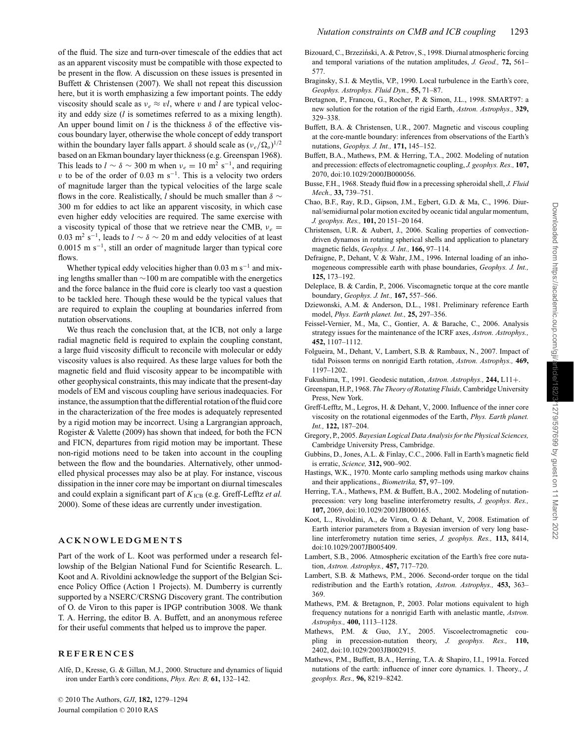of the fluid. The size and turn-over timescale of the eddies that act as an apparent viscosity must be compatible with those expected to be present in the flow. A discussion on these issues is presented in Buffett & Christensen (2007). We shall not repeat this discussion here, but it is worth emphasizing a few important points. The eddy viscosity should scale as  $v_e \approx v l$ , where v and *l* are typical velocity and eddy size (*l* is sometimes referred to as a mixing length). An upper bound limit on *l* is the thickness  $\delta$  of the effective viscous boundary layer, otherwise the whole concept of eddy transport within the boundary layer falls appart.  $\delta$  should scale as  $(\nu_e/\Omega_o)^{1/2}$ based on an Ekman boundary layer thickness (e.g. Greenspan 1968). This leads to  $l \sim \delta \sim 300$  m when  $v_e = 10$  m<sup>2</sup> s<sup>-1</sup>, and requiring v to be of the order of 0.03 m s<sup>-1</sup>. This is a velocity two orders of magnitude larger than the typical velocities of the large scale flows in the core. Realistically, *l* should be much smaller than  $\delta \sim$ 300 m for eddies to act like an apparent viscosity, in which case even higher eddy velocities are required. The same exercise with a viscosity typical of those that we retrieve near the CMB,  $v_e$  = 0.03 m<sup>2</sup> s<sup>-1</sup>, leads to  $l \sim \delta \sim 20$  m and eddy velocities of at least 0.0015 m s<sup>−</sup>1, still an order of magnitude larger than typical core flows.

Whether typical eddy velocities higher than 0.03 m s<sup>-1</sup> and mixing lengths smaller than ∼100 m are compatible with the energetics and the force balance in the fluid core is clearly too vast a question to be tackled here. Though these would be the typical values that are required to explain the coupling at boundaries inferred from nutation observations.

We thus reach the conclusion that, at the ICB, not only a large radial magnetic field is required to explain the coupling constant, a large fluid viscosity difficult to reconcile with molecular or eddy viscosity values is also required. As these large values for both the magnetic field and fluid viscosity appear to be incompatible with other geophysical constraints, this may indicate that the present-day models of EM and viscous coupling have serious inadequacies. For instance, the assumption that the differential rotation of the fluid core in the characterization of the free modes is adequately represented by a rigid motion may be incorrect. Using a Largrangian approach, Rogister & Valette (2009) has shown that indeed, for both the FCN and FICN, departures from rigid motion may be important. These non-rigid motions need to be taken into account in the coupling between the flow and the boundaries. Alternatively, other unmodelled physical processes may also be at play. For instance, viscous dissipation in the inner core may be important on diurnal timescales and could explain a significant part of  $K_{\text{ICB}}$  (e.g. Greff-Lefftz *et al.* 2000). Some of these ideas are currently under investigation.

#### **ACKNOWLEDGMENTS**

Part of the work of L. Koot was performed under a research fellowship of the Belgian National Fund for Scientific Research. L. Koot and A. Rivoldini acknowledge the support of the Belgian Science Policy Office (Action 1 Projects). M. Dumberry is currently supported by a NSERC/CRSNG Discovery grant. The contribution of O. de Viron to this paper is IPGP contribution 3008. We thank T. A. Herring, the editor B. A. Buffett, and an anonymous referee for their useful comments that helped us to improve the paper.

#### **REFERENCES**

Alfe, D., Kresse, G. & Gillan, M.J., 2000. Structure and dynamics of liquid ` iron under Earth's core conditions, *Phys. Rev. B,* **61,** 132–142.

- Bizouard, C., Brzeziński, A. & Petrov, S., 1998. Diurnal atmospheric forcing and temporal variations of the nutation amplitudes, *J. Geod.,* **72,** 561– 577.
- Braginsky, S.I. & Meytlis, V.P., 1990. Local turbulence in the Earth's core, *Geophys. Astrophys. Fluid Dyn.,* **55,** 71–87.
- Bretagnon, P., Francou, G., Rocher, P. & Simon, J.L., 1998. SMART97: a new solution for the rotation of the rigid Earth, *Astron. Astrophys.,* **329,** 329–338.
- Buffett, B.A. & Christensen, U.R., 2007. Magnetic and viscous coupling at the core-mantle boundary: inferences from observations of the Earth's nutations, *Geophys. J. Int.,* **171,** 145–152.
- Buffett, B.A., Mathews, P.M. & Herring, T.A., 2002. Modeling of nutation and precession: effects of electromagnetic coupling, *J. geophys. Res.,* **107,** 2070, doi:10.1029/2000JB000056.
- Busse, F.H., 1968. Steady fluid flow in a precessing spheroidal shell, *J. Fluid Mech.,* **33,** 739–751.
- Chao, B.F., Ray, R.D., Gipson, J.M., Egbert, G.D. & Ma, C., 1996. Diurnal/semidiurnal polar motion excited by oceanic tidal angular momentum, *J. geophys. Res.,* **101,** 20 151–20 164.
- Christensen, U.R. & Aubert, J., 2006. Scaling properties of convectiondriven dynamos in rotating spherical shells and application to planetary magnetic fields, *Geophys. J. Int.,* **166,** 97–114.
- Defraigne, P., Dehant, V. & Wahr, J.M., 1996. Internal loading of an inhomogeneous compressible earth with phase boundaries, *Geophys. J. Int.,* **125,** 173–192.
- Deleplace, B. & Cardin, P., 2006. Viscomagnetic torque at the core mantle boundary, *Geophys. J. Int.,* **167,** 557–566.
- Dziewonski, A.M. & Anderson, D.L., 1981. Preliminary reference Earth model, *Phys. Earth planet. Int.,* **25,** 297–356.
- Feissel-Vernier, M., Ma, C., Gontier, A. & Barache, C., 2006. Analysis strategy issues for the maintenance of the ICRF axes, *Astron. Astrophys.,* **452,** 1107–1112.
- Folgueira, M., Dehant, V., Lambert, S.B. & Rambaux, N., 2007. Impact of tidal Poisson terms on nonrigid Earth rotation, *Astron. Astrophys.,* **469,** 1197–1202.

Fukushima, T., 1991. Geodesic nutation, *Astron. Astrophys.,* **244,** L11+.

- Greenspan, H.P., 1968. *The Theory of Rotating Fluids,*Cambridge University Press, New York.
- Greff-Lefftz, M., Legros, H. & Dehant, V., 2000. Influence of the inner core viscosity on the rotational eigenmodes of the Earth, *Phys. Earth planet. Int.,* **122,** 187–204.
- Gregory, P., 2005. *Bayesian Logical Data Analysis for the Physical Sciences,* Cambridge University Press, Cambridge.
- Gubbins, D., Jones, A.L. & Finlay, C.C., 2006. Fall in Earth's magnetic field is erratic, *Science,* **312,** 900–902.
- Hastings, W.K., 1970. Monte carlo sampling methods using markov chains and their applications., *Biometrika,* **57,** 97–109.
- Herring, T.A., Mathews, P.M. & Buffett, B.A., 2002. Modeling of nutationprecession: very long baseline interferometry results, *J. geophys. Res.,* **107,** 2069, doi:10.1029/2001JB000165.
- Koot, L., Rivoldini, A., de Viron, O. & Dehant, V., 2008. Estimation of Earth interior parameters from a Bayesian inversion of very long baseline interferometry nutation time series, *J. geophys. Res.,* **113,** 8414, doi:10.1029/2007JB005409.
- Lambert, S.B., 2006. Atmospheric excitation of the Earth's free core nutation, *Astron. Astrophys.,* **457,** 717–720.
- Lambert, S.B. & Mathews, P.M., 2006. Second-order torque on the tidal redistribution and the Earth's rotation, *Astron. Astrophys.,* **453,** 363– 369.
- Mathews, P.M. & Bretagnon, P., 2003. Polar motions equivalent to high frequency nutations for a nonrigid Earth with anelastic mantle, *Astron. Astrophys.,* **400,** 1113–1128.
- Mathews, P.M. & Guo, J.Y., 2005. Viscoelectromagnetic coupling in precession-nutation theory, *J. geophys. Res.,* **110,** 2402, doi:10.1029/2003JB002915.
- Mathews, P.M., Buffett, B.A., Herring, T.A. & Shapiro, I.I., 1991a. Forced nutations of the earth: influence of inner core dynamics. 1. Theory., *J. geophys. Res.,* **96,** 8219–8242.